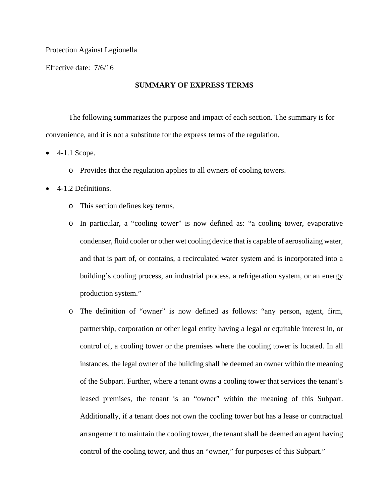#### Protection Against Legionella

Effective date: 7/6/16

# **SUMMARY OF EXPRESS TERMS**

The following summarizes the purpose and impact of each section. The summary is for convenience, and it is not a substitute for the express terms of the regulation.

- 4-1.1 Scope.
	- o Provides that the regulation applies to all owners of cooling towers.
- 4-1.2 Definitions.
	- o This section defines key terms.
	- o In particular, a "cooling tower" is now defined as: "a cooling tower, evaporative condenser, fluid cooler or other wet cooling device that is capable of aerosolizing water, and that is part of, or contains, a recirculated water system and is incorporated into a building's cooling process, an industrial process, a refrigeration system, or an energy production system."
	- o The definition of "owner" is now defined as follows: "any person, agent, firm, partnership, corporation or other legal entity having a legal or equitable interest in, or control of, a cooling tower or the premises where the cooling tower is located. In all instances, the legal owner of the building shall be deemed an owner within the meaning of the Subpart. Further, where a tenant owns a cooling tower that services the tenant's leased premises, the tenant is an "owner" within the meaning of this Subpart. Additionally, if a tenant does not own the cooling tower but has a lease or contractual arrangement to maintain the cooling tower, the tenant shall be deemed an agent having control of the cooling tower, and thus an "owner," for purposes of this Subpart."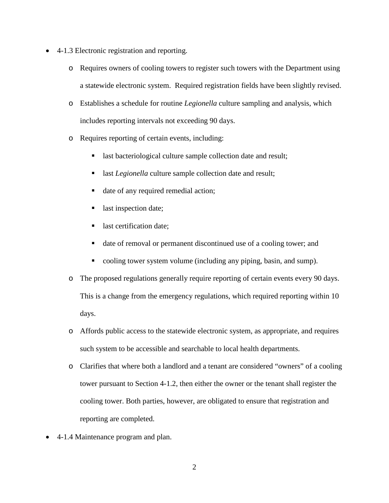- 4-1.3 Electronic registration and reporting.
	- o Requires owners of cooling towers to register such towers with the Department using a statewide electronic system. Required registration fields have been slightly revised.
	- o Establishes a schedule for routine *Legionella* culture sampling and analysis, which includes reporting intervals not exceeding 90 days.
	- o Requires reporting of certain events, including:
		- **last bacteriological culture sample collection date and result;**
		- **last** *Legionella* culture sample collection date and result;
		- date of any required remedial action;
		- last inspection date;
		- last certification date;
		- date of removal or permanent discontinued use of a cooling tower; and
		- cooling tower system volume (including any piping, basin, and sump).
	- o The proposed regulations generally require reporting of certain events every 90 days. This is a change from the emergency regulations, which required reporting within 10 days.
	- o Affords public access to the statewide electronic system, as appropriate, and requires such system to be accessible and searchable to local health departments.
	- o Clarifies that where both a landlord and a tenant are considered "owners" of a cooling tower pursuant to Section 4-1.2, then either the owner or the tenant shall register the cooling tower. Both parties, however, are obligated to ensure that registration and reporting are completed.
- 4-1.4 Maintenance program and plan.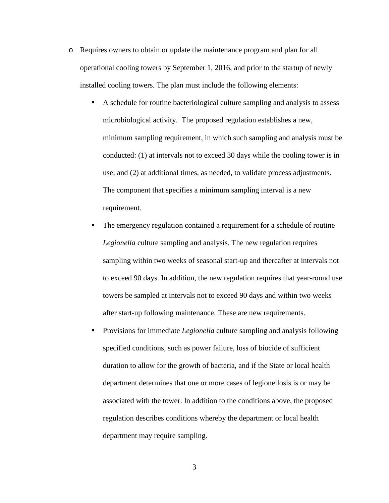- o Requires owners to obtain or update the maintenance program and plan for all operational cooling towers by September 1, 2016, and prior to the startup of newly installed cooling towers. The plan must include the following elements:
	- A schedule for routine bacteriological culture sampling and analysis to assess microbiological activity. The proposed regulation establishes a new, minimum sampling requirement, in which such sampling and analysis must be conducted: (1) at intervals not to exceed 30 days while the cooling tower is in use; and (2) at additional times, as needed, to validate process adjustments. The component that specifies a minimum sampling interval is a new requirement.
	- The emergency regulation contained a requirement for a schedule of routine *Legionella* culture sampling and analysis. The new regulation requires sampling within two weeks of seasonal start-up and thereafter at intervals not to exceed 90 days. In addition, the new regulation requires that year-round use towers be sampled at intervals not to exceed 90 days and within two weeks after start-up following maintenance. These are new requirements.
	- Provisions for immediate *Legionella* culture sampling and analysis following specified conditions, such as power failure, loss of biocide of sufficient duration to allow for the growth of bacteria, and if the State or local health department determines that one or more cases of legionellosis is or may be associated with the tower. In addition to the conditions above, the proposed regulation describes conditions whereby the department or local health department may require sampling.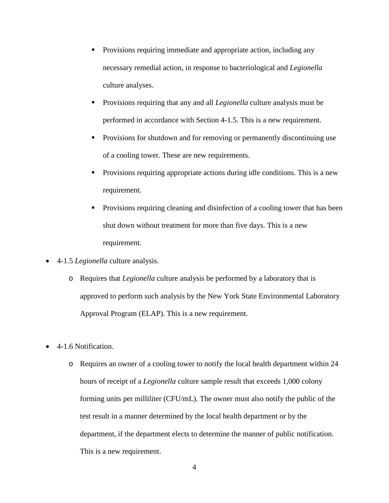- Provisions requiring immediate and appropriate action, including any necessary remedial action, in response to bacteriological and *Legionella*  culture analyses.
- Provisions requiring that any and all *Legionella* culture analysis must be performed in accordance with Section 4-1.5. This is a new requirement.
- Provisions for shutdown and for removing or permanently discontinuing use of a cooling tower. These are new requirements.
- Provisions requiring appropriate actions during idle conditions. This is a new requirement.
- Provisions requiring cleaning and disinfection of a cooling tower that has been shut down without treatment for more than five days. This is a new requirement.
- 4-1.5 *Legionella* culture analysis.
	- o Requires that *Legionella* culture analysis be performed by a laboratory that is approved to perform such analysis by the New York State Environmental Laboratory Approval Program (ELAP). This is a new requirement.
- 4-1.6 Notification.
	- o Requires an owner of a cooling tower to notify the local health department within 24 hours of receipt of a *Legionella* culture sample result that exceeds 1,000 colony forming units per milliliter (CFU/mL). The owner must also notify the public of the test result in a manner determined by the local health department or by the department, if the department elects to determine the manner of public notification. This is a new requirement.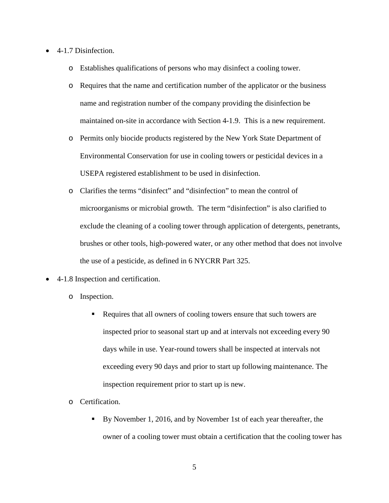- 4-1.7 Disinfection.
	- o Establishes qualifications of persons who may disinfect a cooling tower.
	- o Requires that the name and certification number of the applicator or the business name and registration number of the company providing the disinfection be maintained on-site in accordance with Section 4-1.9. This is a new requirement.
	- o Permits only biocide products registered by the New York State Department of Environmental Conservation for use in cooling towers or pesticidal devices in a USEPA registered establishment to be used in disinfection.
	- o Clarifies the terms "disinfect" and "disinfection" to mean the control of microorganisms or microbial growth. The term "disinfection" is also clarified to exclude the cleaning of a cooling tower through application of detergents, penetrants, brushes or other tools, high-powered water, or any other method that does not involve the use of a pesticide, as defined in 6 NYCRR Part 325.
- 4-1.8 Inspection and certification.
	- o Inspection.
		- Requires that all owners of cooling towers ensure that such towers are inspected prior to seasonal start up and at intervals not exceeding every 90 days while in use. Year-round towers shall be inspected at intervals not exceeding every 90 days and prior to start up following maintenance. The inspection requirement prior to start up is new.
	- o Certification.
		- By November 1, 2016, and by November 1st of each year thereafter, the owner of a cooling tower must obtain a certification that the cooling tower has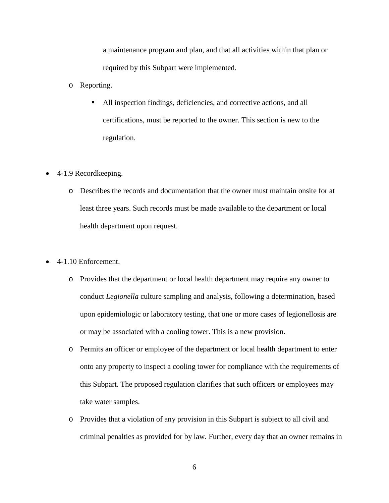a maintenance program and plan, and that all activities within that plan or required by this Subpart were implemented.

- o Reporting.
	- All inspection findings, deficiencies, and corrective actions, and all certifications, must be reported to the owner. This section is new to the regulation.
- 4-1.9 Recordkeeping.
	- o Describes the records and documentation that the owner must maintain onsite for at least three years. Such records must be made available to the department or local health department upon request.
- 4-1.10 Enforcement.
	- o Provides that the department or local health department may require any owner to conduct *Legionella* culture sampling and analysis, following a determination, based upon epidemiologic or laboratory testing, that one or more cases of legionellosis are or may be associated with a cooling tower. This is a new provision.
	- o Permits an officer or employee of the department or local health department to enter onto any property to inspect a cooling tower for compliance with the requirements of this Subpart. The proposed regulation clarifies that such officers or employees may take water samples.
	- o Provides that a violation of any provision in this Subpart is subject to all civil and criminal penalties as provided for by law. Further, every day that an owner remains in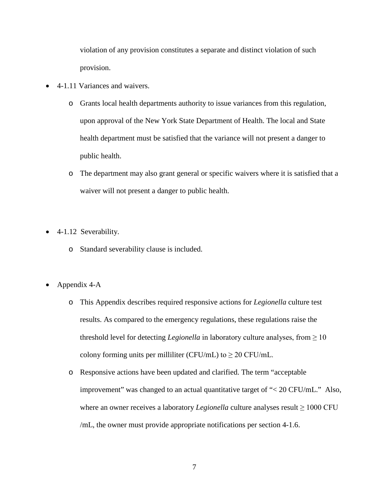violation of any provision constitutes a separate and distinct violation of such provision.

- 4-1.11 Variances and waivers.
	- o Grants local health departments authority to issue variances from this regulation, upon approval of the New York State Department of Health. The local and State health department must be satisfied that the variance will not present a danger to public health.
	- o The department may also grant general or specific waivers where it is satisfied that a waiver will not present a danger to public health.
- 4-1.12 Severability.
	- o Standard severability clause is included.
- Appendix 4-A
	- o This Appendix describes required responsive actions for *Legionella* culture test results. As compared to the emergency regulations, these regulations raise the threshold level for detecting *Legionella* in laboratory culture analyses, from  $\geq 10$ colony forming units per milliliter (CFU/mL) to  $\geq 20$  CFU/mL.
	- o Responsive actions have been updated and clarified. The term "acceptable improvement" was changed to an actual quantitative target of "< 20 CFU/mL." Also, where an owner receives a laboratory *Legionella* culture analyses result  $\geq 1000$  CFU /mL, the owner must provide appropriate notifications per section 4-1.6.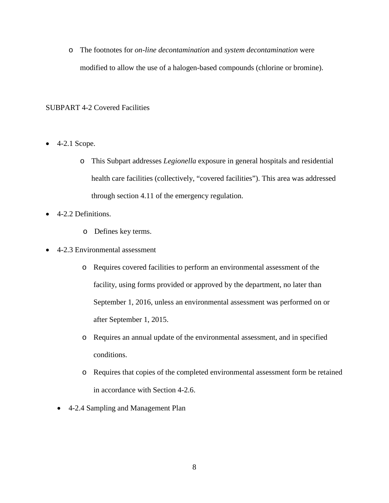o The footnotes for *on-line decontamination* and *system decontamination* were modified to allow the use of a halogen-based compounds (chlorine or bromine).

# SUBPART 4-2 Covered Facilities

- $\bullet$  4-2.1 Scope.
	- o This Subpart addresses *Legionella* exposure in general hospitals and residential health care facilities (collectively, "covered facilities"). This area was addressed through section 4.11 of the emergency regulation.
- 4-2.2 Definitions.
	- o Defines key terms.
- 4-2.3 Environmental assessment
	- o Requires covered facilities to perform an environmental assessment of the facility, using forms provided or approved by the department, no later than September 1, 2016, unless an environmental assessment was performed on or after September 1, 2015.
	- o Requires an annual update of the environmental assessment, and in specified conditions.
	- o Requires that copies of the completed environmental assessment form be retained in accordance with Section 4-2.6.
	- 4-2.4 Sampling and Management Plan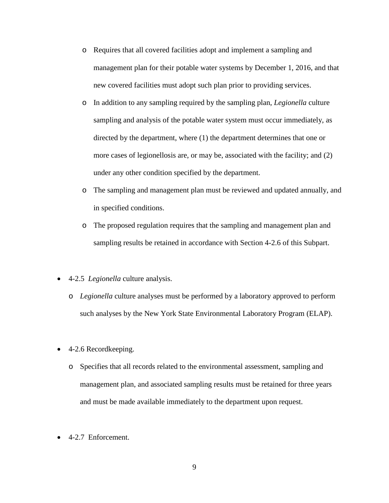- o Requires that all covered facilities adopt and implement a sampling and management plan for their potable water systems by December 1, 2016, and that new covered facilities must adopt such plan prior to providing services.
- o In addition to any sampling required by the sampling plan, *Legionella* culture sampling and analysis of the potable water system must occur immediately, as directed by the department, where (1) the department determines that one or more cases of legionellosis are, or may be, associated with the facility; and (2) under any other condition specified by the department.
- o The sampling and management plan must be reviewed and updated annually, and in specified conditions.
- o The proposed regulation requires that the sampling and management plan and sampling results be retained in accordance with Section 4-2.6 of this Subpart.
- 4-2.5 *Legionella* culture analysis.
	- o *Legionella* culture analyses must be performed by a laboratory approved to perform such analyses by the New York State Environmental Laboratory Program (ELAP).
- 4-2.6 Recordkeeping.
	- o Specifies that all records related to the environmental assessment, sampling and management plan, and associated sampling results must be retained for three years and must be made available immediately to the department upon request.
- 4-2.7 Enforcement.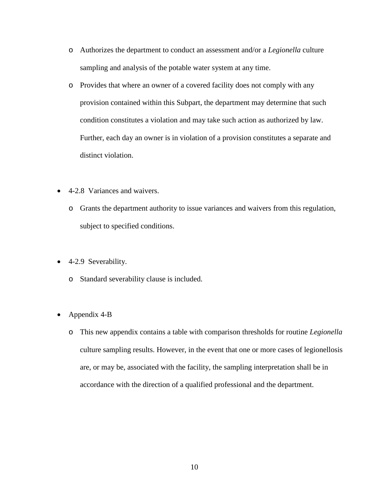- o Authorizes the department to conduct an assessment and/or a *Legionella* culture sampling and analysis of the potable water system at any time.
- o Provides that where an owner of a covered facility does not comply with any provision contained within this Subpart, the department may determine that such condition constitutes a violation and may take such action as authorized by law. Further, each day an owner is in violation of a provision constitutes a separate and distinct violation.
- 4-2.8 Variances and waivers.
	- o Grants the department authority to issue variances and waivers from this regulation, subject to specified conditions.
- 4-2.9 Severability.
	- o Standard severability clause is included.
- Appendix 4-B
	- o This new appendix contains a table with comparison thresholds for routine *Legionella*  culture sampling results. However, in the event that one or more cases of legionellosis are, or may be, associated with the facility, the sampling interpretation shall be in accordance with the direction of a qualified professional and the department.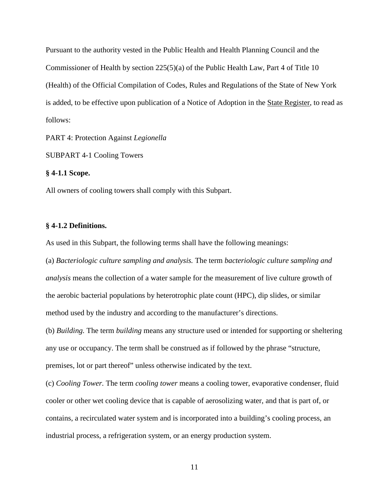Pursuant to the authority vested in the Public Health and Health Planning Council and the Commissioner of Health by section 225(5)(a) of the Public Health Law, Part 4 of Title 10 (Health) of the Official Compilation of Codes, Rules and Regulations of the State of New York is added, to be effective upon publication of a Notice of Adoption in the State Register, to read as follows:

PART 4: Protection Against *Legionella*

SUBPART 4-1 Cooling Towers

#### **§ 4-1.1 Scope.**

All owners of cooling towers shall comply with this Subpart.

### **§ 4-1.2 Definitions.**

As used in this Subpart, the following terms shall have the following meanings:

(a) *Bacteriologic culture sampling and analysis.* The term *bacteriologic culture sampling and analysis* means the collection of a water sample for the measurement of live culture growth of the aerobic bacterial populations by heterotrophic plate count (HPC), dip slides, or similar method used by the industry and according to the manufacturer's directions.

(b) *Building.* The term *building* means any structure used or intended for supporting or sheltering any use or occupancy. The term shall be construed as if followed by the phrase "structure, premises, lot or part thereof" unless otherwise indicated by the text.

(c) *Cooling Tower.* The term *cooling tower* means a cooling tower, evaporative condenser, fluid cooler or other wet cooling device that is capable of aerosolizing water, and that is part of, or contains, a recirculated water system and is incorporated into a building's cooling process, an industrial process, a refrigeration system, or an energy production system.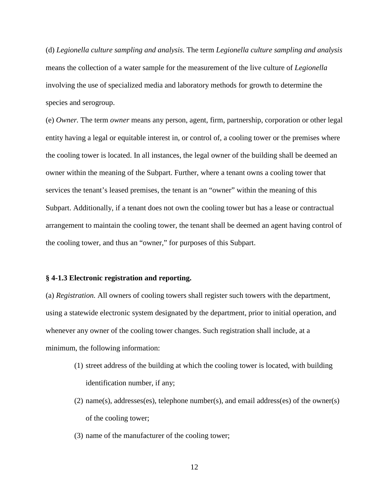(d) *Legionella culture sampling and analysis.* The term *Legionella culture sampling and analysis*  means the collection of a water sample for the measurement of the live culture of *Legionella* involving the use of specialized media and laboratory methods for growth to determine the species and serogroup.

(e) *Owner.* The term *owner* means any person, agent, firm, partnership, corporation or other legal entity having a legal or equitable interest in, or control of, a cooling tower or the premises where the cooling tower is located. In all instances, the legal owner of the building shall be deemed an owner within the meaning of the Subpart. Further, where a tenant owns a cooling tower that services the tenant's leased premises, the tenant is an "owner" within the meaning of this Subpart. Additionally, if a tenant does not own the cooling tower but has a lease or contractual arrangement to maintain the cooling tower, the tenant shall be deemed an agent having control of the cooling tower, and thus an "owner," for purposes of this Subpart.

#### **§ 4-1.3 Electronic registration and reporting.**

(a) *Registration.* All owners of cooling towers shall register such towers with the department, using a statewide electronic system designated by the department, prior to initial operation, and whenever any owner of the cooling tower changes. Such registration shall include, at a minimum, the following information:

- (1) street address of the building at which the cooling tower is located, with building identification number, if any;
- (2) name(s), addresses(es), telephone number(s), and email address(es) of the owner(s) of the cooling tower;
- (3) name of the manufacturer of the cooling tower;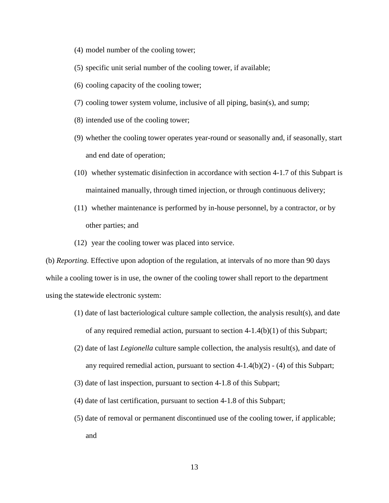- (4) model number of the cooling tower;
- (5) specific unit serial number of the cooling tower, if available;
- (6) cooling capacity of the cooling tower;
- (7) cooling tower system volume, inclusive of all piping, basin(s), and sump;
- (8) intended use of the cooling tower;
- (9) whether the cooling tower operates year-round or seasonally and, if seasonally, start and end date of operation;
- (10) whether systematic disinfection in accordance with section 4-1.7 of this Subpart is maintained manually, through timed injection, or through continuous delivery;
- (11) whether maintenance is performed by in-house personnel, by a contractor, or by other parties; and
- (12) year the cooling tower was placed into service.

(b) *Reporting.* Effective upon adoption of the regulation, at intervals of no more than 90 days while a cooling tower is in use, the owner of the cooling tower shall report to the department using the statewide electronic system:

- (1) date of last bacteriological culture sample collection, the analysis result(s), and date of any required remedial action, pursuant to section  $4-1.4(b)(1)$  of this Subpart;
- (2) date of last *Legionella* culture sample collection, the analysis result(s), and date of any required remedial action, pursuant to section  $4-1.4(b)(2) - (4)$  of this Subpart;
- (3) date of last inspection, pursuant to section 4-1.8 of this Subpart;
- (4) date of last certification, pursuant to section 4-1.8 of this Subpart;
- (5) date of removal or permanent discontinued use of the cooling tower, if applicable; and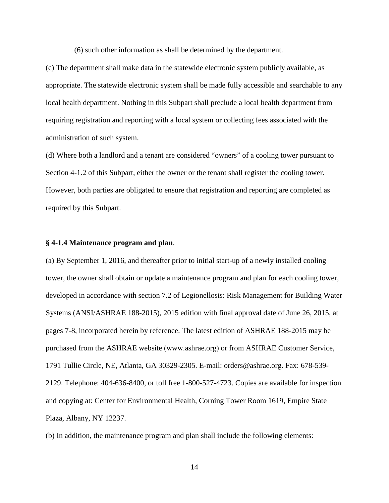(6) such other information as shall be determined by the department.

(c) The department shall make data in the statewide electronic system publicly available, as appropriate. The statewide electronic system shall be made fully accessible and searchable to any local health department. Nothing in this Subpart shall preclude a local health department from requiring registration and reporting with a local system or collecting fees associated with the administration of such system.

(d) Where both a landlord and a tenant are considered "owners" of a cooling tower pursuant to Section 4-1.2 of this Subpart, either the owner or the tenant shall register the cooling tower. However, both parties are obligated to ensure that registration and reporting are completed as required by this Subpart.

#### **§ 4-1.4 Maintenance program and plan**.

(a) By September 1, 2016, and thereafter prior to initial start-up of a newly installed cooling tower, the owner shall obtain or update a maintenance program and plan for each cooling tower, developed in accordance with section 7.2 of Legionellosis: Risk Management for Building Water Systems (ANSI/ASHRAE 188-2015), 2015 edition with final approval date of June 26, 2015, at pages 7-8, incorporated herein by reference. The latest edition of ASHRAE 188-2015 may be purchased from the ASHRAE website (www.ashrae.org) or from ASHRAE Customer Service, 1791 Tullie Circle, NE, Atlanta, GA 30329-2305. E-mail: orders@ashrae.org. Fax: 678-539- 2129. Telephone: 404-636-8400, or toll free 1-800-527-4723. Copies are available for inspection and copying at: Center for Environmental Health, Corning Tower Room 1619, Empire State Plaza, Albany, NY 12237.

(b) In addition, the maintenance program and plan shall include the following elements: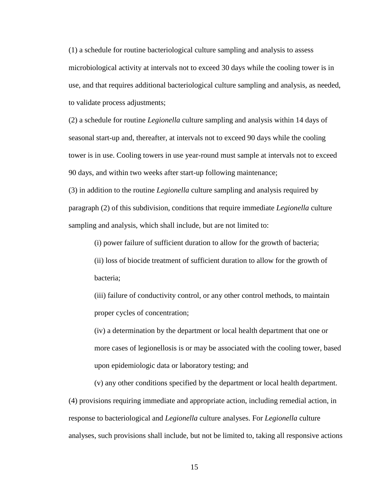(1) a schedule for routine bacteriological culture sampling and analysis to assess microbiological activity at intervals not to exceed 30 days while the cooling tower is in use, and that requires additional bacteriological culture sampling and analysis, as needed, to validate process adjustments;

(2) a schedule for routine *Legionella* culture sampling and analysis within 14 days of seasonal start-up and, thereafter, at intervals not to exceed 90 days while the cooling tower is in use. Cooling towers in use year-round must sample at intervals not to exceed 90 days, and within two weeks after start-up following maintenance;

(3) in addition to the routine *Legionella* culture sampling and analysis required by paragraph (2) of this subdivision, conditions that require immediate *Legionella* culture sampling and analysis, which shall include, but are not limited to:

(i) power failure of sufficient duration to allow for the growth of bacteria;

(ii) loss of biocide treatment of sufficient duration to allow for the growth of bacteria;

(iii) failure of conductivity control, or any other control methods, to maintain proper cycles of concentration;

(iv) a determination by the department or local health department that one or more cases of legionellosis is or may be associated with the cooling tower, based upon epidemiologic data or laboratory testing; and

(v) any other conditions specified by the department or local health department. (4) provisions requiring immediate and appropriate action, including remedial action, in response to bacteriological and *Legionella* culture analyses. For *Legionella* culture analyses, such provisions shall include, but not be limited to, taking all responsive actions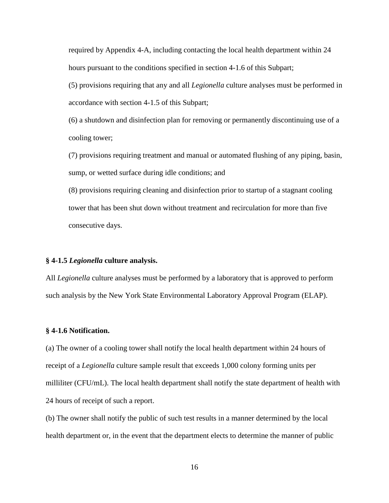required by Appendix 4-A, including contacting the local health department within 24 hours pursuant to the conditions specified in section 4-1.6 of this Subpart;

(5) provisions requiring that any and all *Legionella* culture analyses must be performed in accordance with section 4-1.5 of this Subpart;

(6) a shutdown and disinfection plan for removing or permanently discontinuing use of a cooling tower;

(7) provisions requiring treatment and manual or automated flushing of any piping, basin, sump, or wetted surface during idle conditions; and

(8) provisions requiring cleaning and disinfection prior to startup of a stagnant cooling tower that has been shut down without treatment and recirculation for more than five consecutive days.

## **§ 4-1.5** *Legionella* **culture analysis.**

All *Legionella* culture analyses must be performed by a laboratory that is approved to perform such analysis by the New York State Environmental Laboratory Approval Program (ELAP).

## **§ 4-1.6 Notification.**

(a) The owner of a cooling tower shall notify the local health department within 24 hours of receipt of a *Legionella* culture sample result that exceeds 1,000 colony forming units per milliliter (CFU/mL). The local health department shall notify the state department of health with 24 hours of receipt of such a report.

(b) The owner shall notify the public of such test results in a manner determined by the local health department or, in the event that the department elects to determine the manner of public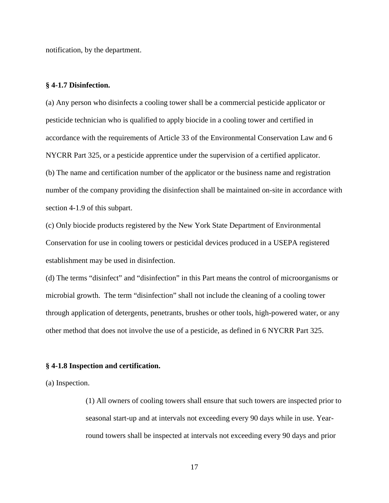notification, by the department.

### **§ 4-1.7 Disinfection.**

(a) Any person who disinfects a cooling tower shall be a commercial pesticide applicator or pesticide technician who is qualified to apply biocide in a cooling tower and certified in accordance with the requirements of Article 33 of the Environmental Conservation Law and 6 NYCRR Part 325, or a pesticide apprentice under the supervision of a certified applicator. (b) The name and certification number of the applicator or the business name and registration number of the company providing the disinfection shall be maintained on-site in accordance with section 4-1.9 of this subpart.

(c) Only biocide products registered by the New York State Department of Environmental Conservation for use in cooling towers or pesticidal devices produced in a USEPA registered establishment may be used in disinfection.

(d) The terms "disinfect" and "disinfection" in this Part means the control of microorganisms or microbial growth. The term "disinfection" shall not include the cleaning of a cooling tower through application of detergents, penetrants, brushes or other tools, high-powered water, or any other method that does not involve the use of a pesticide, as defined in 6 NYCRR Part 325.

#### **§ 4-1.8 Inspection and certification.**

(a) Inspection.

(1) All owners of cooling towers shall ensure that such towers are inspected prior to seasonal start-up and at intervals not exceeding every 90 days while in use. Yearround towers shall be inspected at intervals not exceeding every 90 days and prior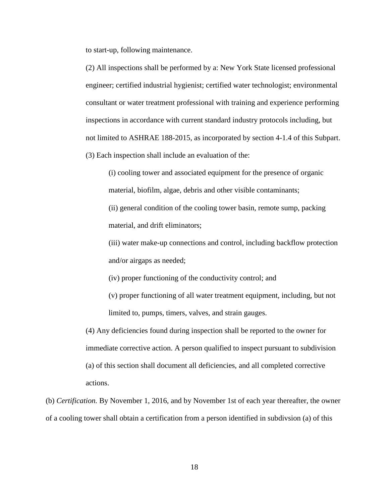to start-up, following maintenance.

(2) All inspections shall be performed by a: New York State licensed professional engineer; certified industrial hygienist; certified water technologist; environmental consultant or water treatment professional with training and experience performing inspections in accordance with current standard industry protocols including, but not limited to ASHRAE 188-2015, as incorporated by section 4-1.4 of this Subpart. (3) Each inspection shall include an evaluation of the:

(i) cooling tower and associated equipment for the presence of organic material, biofilm, algae, debris and other visible contaminants; (ii) general condition of the cooling tower basin, remote sump, packing

material, and drift eliminators;

(iii) water make-up connections and control, including backflow protection and/or airgaps as needed;

(iv) proper functioning of the conductivity control; and

(v) proper functioning of all water treatment equipment, including, but not limited to, pumps, timers, valves, and strain gauges.

(4) Any deficiencies found during inspection shall be reported to the owner for immediate corrective action. A person qualified to inspect pursuant to subdivision (a) of this section shall document all deficiencies, and all completed corrective actions.

(b) *Certification.* By November 1, 2016, and by November 1st of each year thereafter, the owner of a cooling tower shall obtain a certification from a person identified in subdivsion (a) of this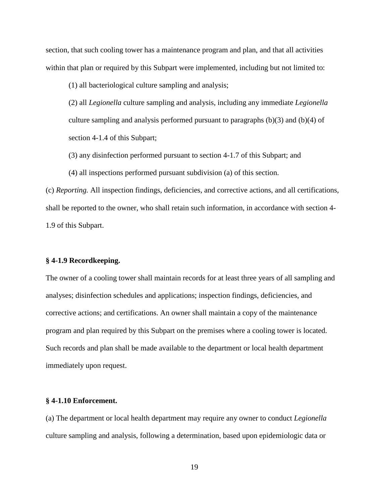section, that such cooling tower has a maintenance program and plan, and that all activities within that plan or required by this Subpart were implemented, including but not limited to:

(1) all bacteriological culture sampling and analysis;

(2) all *Legionella* culture sampling and analysis, including any immediate *Legionella* culture sampling and analysis performed pursuant to paragraphs  $(b)(3)$  and  $(b)(4)$  of section 4-1.4 of this Subpart;

- (3) any disinfection performed pursuant to section 4-1.7 of this Subpart; and
- (4) all inspections performed pursuant subdivision (a) of this section.

(c) *Reporting.* All inspection findings, deficiencies, and corrective actions, and all certifications, shall be reported to the owner, who shall retain such information, in accordance with section 4- 1.9 of this Subpart.

## **§ 4-1.9 Recordkeeping.**

The owner of a cooling tower shall maintain records for at least three years of all sampling and analyses; disinfection schedules and applications; inspection findings, deficiencies, and corrective actions; and certifications. An owner shall maintain a copy of the maintenance program and plan required by this Subpart on the premises where a cooling tower is located. Such records and plan shall be made available to the department or local health department immediately upon request.

#### **§ 4-1.10 Enforcement.**

(a) The department or local health department may require any owner to conduct *Legionella* culture sampling and analysis, following a determination, based upon epidemiologic data or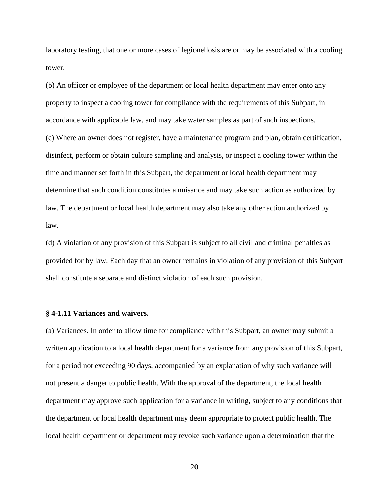laboratory testing, that one or more cases of legionellosis are or may be associated with a cooling tower.

(b) An officer or employee of the department or local health department may enter onto any property to inspect a cooling tower for compliance with the requirements of this Subpart, in accordance with applicable law, and may take water samples as part of such inspections. (c) Where an owner does not register, have a maintenance program and plan, obtain certification, disinfect, perform or obtain culture sampling and analysis, or inspect a cooling tower within the time and manner set forth in this Subpart, the department or local health department may determine that such condition constitutes a nuisance and may take such action as authorized by law. The department or local health department may also take any other action authorized by law.

(d) A violation of any provision of this Subpart is subject to all civil and criminal penalties as provided for by law. Each day that an owner remains in violation of any provision of this Subpart shall constitute a separate and distinct violation of each such provision.

### **§ 4-1.11 Variances and waivers.**

(a) Variances. In order to allow time for compliance with this Subpart, an owner may submit a written application to a local health department for a variance from any provision of this Subpart, for a period not exceeding 90 days, accompanied by an explanation of why such variance will not present a danger to public health. With the approval of the department, the local health department may approve such application for a variance in writing, subject to any conditions that the department or local health department may deem appropriate to protect public health. The local health department or department may revoke such variance upon a determination that the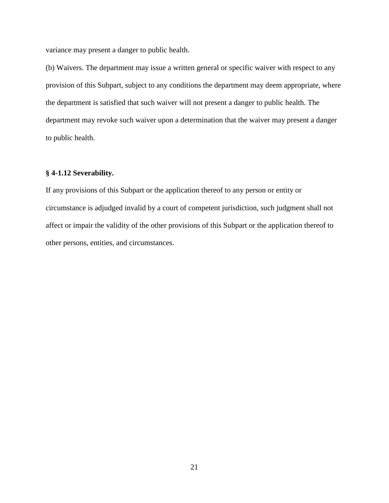variance may present a danger to public health.

(b) Waivers. The department may issue a written general or specific waiver with respect to any provision of this Subpart, subject to any conditions the department may deem appropriate, where the department is satisfied that such waiver will not present a danger to public health. The department may revoke such waiver upon a determination that the waiver may present a danger to public health.

## **§ 4-1.12 Severability.**

If any provisions of this Subpart or the application thereof to any person or entity or circumstance is adjudged invalid by a court of competent jurisdiction, such judgment shall not affect or impair the validity of the other provisions of this Subpart or the application thereof to other persons, entities, and circumstances.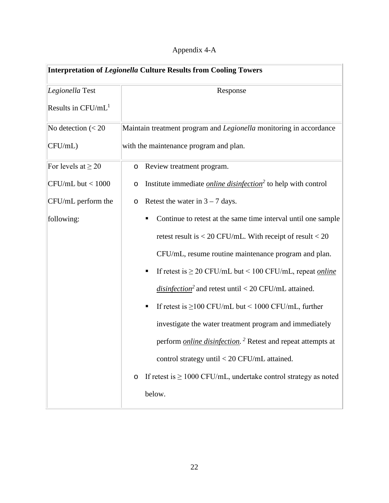| Appendix 4-A |  |
|--------------|--|
|              |  |

| <b>Interpretation of Legionella Culture Results from Cooling Towers</b> |                                                                                       |  |
|-------------------------------------------------------------------------|---------------------------------------------------------------------------------------|--|
| Legionella Test                                                         | Response                                                                              |  |
| Results in CFU/mL <sup>1</sup>                                          |                                                                                       |  |
| No detection $(< 20$                                                    | Maintain treatment program and Legionella monitoring in accordance                    |  |
| CFU/mL)                                                                 | with the maintenance program and plan.                                                |  |
| For levels at $\geq 20$                                                 | Review treatment program.<br>$\circ$                                                  |  |
| $CFU/mL$ but $< 1000$                                                   | Institute immediate <i>online disinfection</i> <sup>2</sup> to help with control<br>O |  |
| CFU/mL perform the                                                      | Retest the water in $3 - 7$ days.<br>O                                                |  |
| following:                                                              | Continue to retest at the same time interval until one sample<br>٠                    |  |
|                                                                         | retest result is $<$ 20 CFU/mL. With receipt of result $<$ 20                         |  |
|                                                                         | CFU/mL, resume routine maintenance program and plan.                                  |  |
|                                                                         | If retest is $\geq$ 20 CFU/mL but < 100 CFU/mL, repeat <i>online</i><br>п             |  |
|                                                                         | <i>disinfection</i> <sup>2</sup> and retest until < 20 CFU/mL attained.               |  |
|                                                                         | If retest is $\geq$ 100 CFU/mL but < 1000 CFU/mL, further<br>п                        |  |
|                                                                         | investigate the water treatment program and immediately                               |  |
|                                                                         | perform <i>online disinfection</i> . <sup>2</sup> Retest and repeat attempts at       |  |
|                                                                         | control strategy until $<$ 20 CFU/mL attained.                                        |  |
|                                                                         | If retest is $\geq 1000$ CFU/mL, undertake control strategy as noted<br>$\circ$       |  |
|                                                                         | below.                                                                                |  |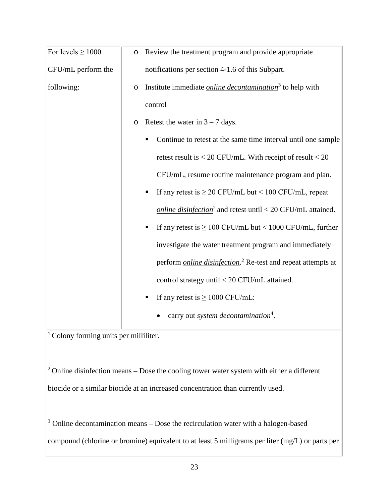| For levels $\geq 1000$ | O | Review the treatment program and provide appropriate                             |  |
|------------------------|---|----------------------------------------------------------------------------------|--|
| CFU/mL perform the     |   | notifications per section 4-1.6 of this Subpart.                                 |  |
| following:             | O | Institute immediate <i>online decontamination</i> <sup>3</sup> to help with      |  |
|                        |   | control                                                                          |  |
|                        | O | Retest the water in $3 - 7$ days.                                                |  |
|                        |   | Continue to retest at the same time interval until one sample<br>٠               |  |
|                        |   | retest result is $<$ 20 CFU/mL. With receipt of result $<$ 20                    |  |
|                        |   | CFU/mL, resume routine maintenance program and plan.                             |  |
|                        |   | If any retest is $\geq$ 20 CFU/mL but < 100 CFU/mL, repeat                       |  |
|                        |   | <i>online disinfection</i> <sup>2</sup> and retest until < 20 CFU/mL attained.   |  |
|                        |   | If any retest is $\geq 100$ CFU/mL but < 1000 CFU/mL, further<br>٠               |  |
|                        |   | investigate the water treatment program and immediately                          |  |
|                        |   | perform <i>online disinfection</i> . <sup>2</sup> Re-test and repeat attempts at |  |
|                        |   | control strategy until < 20 CFU/mL attained.                                     |  |
|                        |   | If any retest is $\geq 1000$ CFU/mL:<br>٠                                        |  |
|                        |   | carry out <i>system decontamination</i> <sup>4</sup> .                           |  |

<sup>1</sup> Colony forming units per milliliter.

<sup>2</sup> Online disinfection means – Dose the cooling tower water system with either a different biocide or a similar biocide at an increased concentration than currently used.

 $\frac{3}{3}$  Online decontamination means – Dose the recirculation water with a halogen-based compound (chlorine or bromine) equivalent to at least 5 milligrams per liter (mg/L) or parts per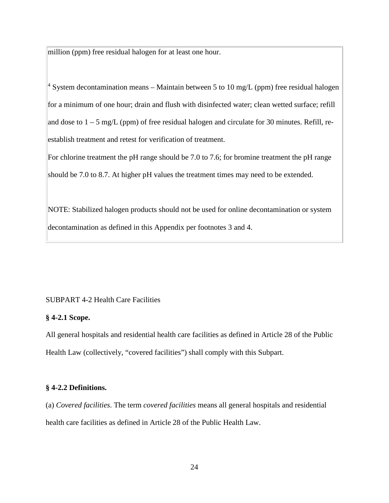million (ppm) free residual halogen for at least one hour.

<sup>4</sup> System decontamination means – Maintain between 5 to 10 mg/L (ppm) free residual halogen for a minimum of one hour; drain and flush with disinfected water; clean wetted surface; refill and dose to  $1 - 5$  mg/L (ppm) of free residual halogen and circulate for 30 minutes. Refill, reestablish treatment and retest for verification of treatment.

For chlorine treatment the pH range should be 7.0 to 7.6; for bromine treatment the pH range should be 7.0 to 8.7. At higher pH values the treatment times may need to be extended.

NOTE: Stabilized halogen products should not be used for online decontamination or system decontamination as defined in this Appendix per footnotes 3 and 4.

# SUBPART 4-2 Health Care Facilities

# **§ 4-2.1 Scope.**

All general hospitals and residential health care facilities as defined in Article 28 of the Public Health Law (collectively, "covered facilities") shall comply with this Subpart.

# **§ 4-2.2 Definitions.**

(a) *Covered facilities*. The term *covered facilities* means all general hospitals and residential health care facilities as defined in Article 28 of the Public Health Law.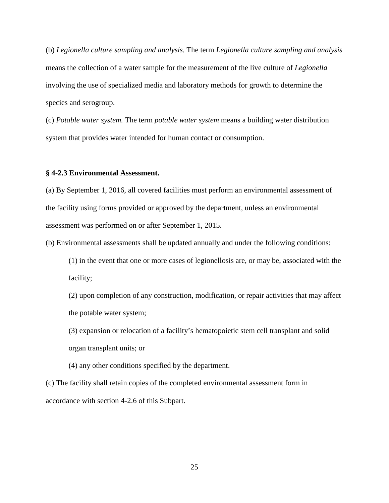(b) *Legionella culture sampling and analysis.* The term *Legionella culture sampling and analysis* means the collection of a water sample for the measurement of the live culture of *Legionella* involving the use of specialized media and laboratory methods for growth to determine the species and serogroup.

(c) *Potable water system.* The term *potable water system* means a building water distribution system that provides water intended for human contact or consumption.

#### **§ 4-2.3 Environmental Assessment.**

(a) By September 1, 2016, all covered facilities must perform an environmental assessment of the facility using forms provided or approved by the department, unless an environmental assessment was performed on or after September 1, 2015.

(b) Environmental assessments shall be updated annually and under the following conditions:

(1) in the event that one or more cases of legionellosis are, or may be, associated with the facility;

(2) upon completion of any construction, modification, or repair activities that may affect the potable water system;

(3) expansion or relocation of a facility's hematopoietic stem cell transplant and solid organ transplant units; or

(4) any other conditions specified by the department.

(c) The facility shall retain copies of the completed environmental assessment form in accordance with section 4-2.6 of this Subpart.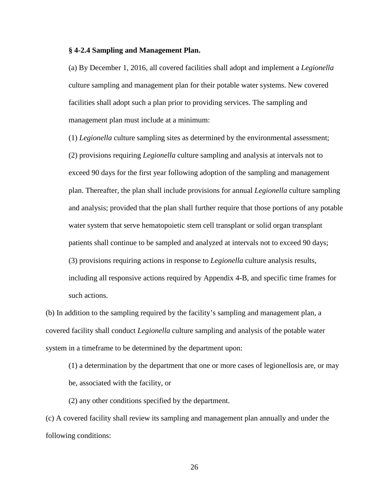### **§ 4-2.4 Sampling and Management Plan.**

(a) By December 1, 2016, all covered facilities shall adopt and implement a *Legionella* culture sampling and management plan for their potable water systems. New covered facilities shall adopt such a plan prior to providing services. The sampling and management plan must include at a minimum:

(1) *Legionella* culture sampling sites as determined by the environmental assessment; (2) provisions requiring *Legionella* culture sampling and analysis at intervals not to exceed 90 days for the first year following adoption of the sampling and management plan. Thereafter, the plan shall include provisions for annual *Legionella* culture sampling and analysis; provided that the plan shall further require that those portions of any potable water system that serve hematopoietic stem cell transplant or solid organ transplant patients shall continue to be sampled and analyzed at intervals not to exceed 90 days; (3) provisions requiring actions in response to *Legionella* culture analysis results, including all responsive actions required by Appendix 4-B, and specific time frames for such actions.

(b) In addition to the sampling required by the facility's sampling and management plan, a covered facility shall conduct *Legionella* culture sampling and analysis of the potable water system in a timeframe to be determined by the department upon:

(1) a determination by the department that one or more cases of legionellosis are, or may be, associated with the facility, or

(2) any other conditions specified by the department.

(c) A covered facility shall review its sampling and management plan annually and under the following conditions: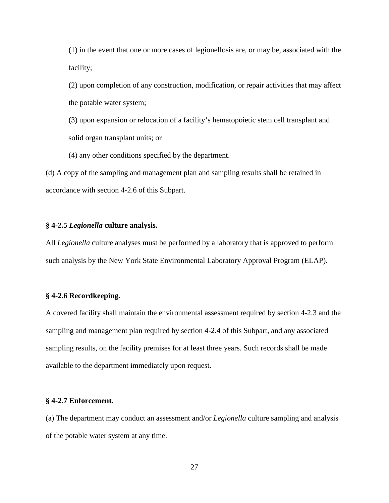(1) in the event that one or more cases of legionellosis are, or may be, associated with the facility;

(2) upon completion of any construction, modification, or repair activities that may affect the potable water system;

(3) upon expansion or relocation of a facility's hematopoietic stem cell transplant and solid organ transplant units; or

(4) any other conditions specified by the department.

(d) A copy of the sampling and management plan and sampling results shall be retained in accordance with section 4-2.6 of this Subpart.

# **§ 4-2.5** *Legionella* **culture analysis.**

All *Legionella* culture analyses must be performed by a laboratory that is approved to perform such analysis by the New York State Environmental Laboratory Approval Program (ELAP).

# **§ 4-2.6 Recordkeeping.**

A covered facility shall maintain the environmental assessment required by section 4-2.3 and the sampling and management plan required by section 4-2.4 of this Subpart, and any associated sampling results, on the facility premises for at least three years. Such records shall be made available to the department immediately upon request.

#### **§ 4-2.7 Enforcement.**

(a) The department may conduct an assessment and/or *Legionella* culture sampling and analysis of the potable water system at any time.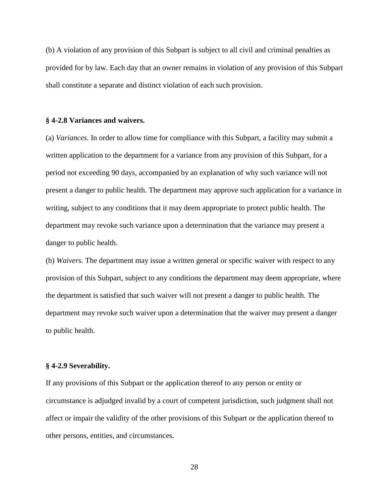(b) A violation of any provision of this Subpart is subject to all civil and criminal penalties as provided for by law. Each day that an owner remains in violation of any provision of this Subpart shall constitute a separate and distinct violation of each such provision.

#### **§ 4-2.8 Variances and waivers.**

(a) *Variances.* In order to allow time for compliance with this Subpart, a facility may submit a written application to the department for a variance from any provision of this Subpart, for a period not exceeding 90 days, accompanied by an explanation of why such variance will not present a danger to public health. The department may approve such application for a variance in writing, subject to any conditions that it may deem appropriate to protect public health. The department may revoke such variance upon a determination that the variance may present a danger to public health.

(b) *Waivers.* The department may issue a written general or specific waiver with respect to any provision of this Subpart, subject to any conditions the department may deem appropriate, where the department is satisfied that such waiver will not present a danger to public health. The department may revoke such waiver upon a determination that the waiver may present a danger to public health.

#### **§ 4-2.9 Severability.**

If any provisions of this Subpart or the application thereof to any person or entity or circumstance is adjudged invalid by a court of competent jurisdiction, such judgment shall not affect or impair the validity of the other provisions of this Subpart or the application thereof to other persons, entities, and circumstances.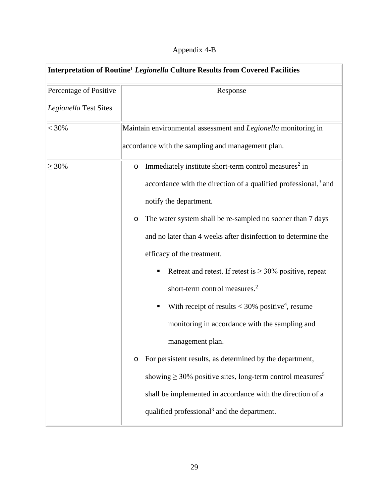| Appendix 4-B |
|--------------|
|--------------|

| Interpretation of Routine <sup>1</sup> Legionella Culture Results from Covered Facilities |                                                                                                                     |  |
|-------------------------------------------------------------------------------------------|---------------------------------------------------------------------------------------------------------------------|--|
| Percentage of Positive                                                                    | Response                                                                                                            |  |
| Legionella Test Sites                                                                     |                                                                                                                     |  |
| $< 30\%$                                                                                  | Maintain environmental assessment and Legionella monitoring in<br>accordance with the sampling and management plan. |  |
|                                                                                           |                                                                                                                     |  |
| $\geq 30\%$                                                                               | Immediately institute short-term control measures <sup>2</sup> in<br>$\circ$                                        |  |
|                                                                                           | accordance with the direction of a qualified professional, <sup>3</sup> and                                         |  |
|                                                                                           | notify the department.                                                                                              |  |
|                                                                                           | The water system shall be re-sampled no sooner than 7 days<br>O                                                     |  |
|                                                                                           | and no later than 4 weeks after disinfection to determine the                                                       |  |
|                                                                                           | efficacy of the treatment.                                                                                          |  |
|                                                                                           | Retreat and retest. If retest is $\geq 30\%$ positive, repeat<br>٠                                                  |  |
|                                                                                           | short-term control measures. <sup>2</sup>                                                                           |  |
|                                                                                           | With receipt of results $<$ 30% positive <sup>4</sup> , resume<br>Ξ                                                 |  |
|                                                                                           | monitoring in accordance with the sampling and                                                                      |  |
|                                                                                           | management plan.                                                                                                    |  |
|                                                                                           | For persistent results, as determined by the department,<br>O                                                       |  |
|                                                                                           | showing $\geq 30\%$ positive sites, long-term control measures <sup>5</sup>                                         |  |
|                                                                                           | shall be implemented in accordance with the direction of a                                                          |  |
|                                                                                           | qualified professional <sup>3</sup> and the department.                                                             |  |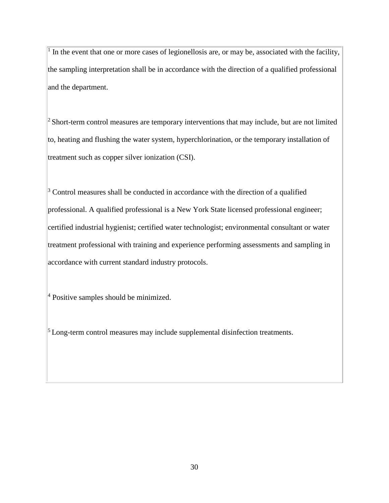$<sup>1</sup>$  In the event that one or more cases of legionellosis are, or may be, associated with the facility,</sup> the sampling interpretation shall be in accordance with the direction of a qualified professional and the department.

<sup>2</sup> Short-term control measures are temporary interventions that may include, but are not limited to, heating and flushing the water system, hyperchlorination, or the temporary installation of treatment such as copper silver ionization (CSI).

 $3$  Control measures shall be conducted in accordance with the direction of a qualified professional. A qualified professional is a New York State licensed professional engineer; certified industrial hygienist; certified water technologist; environmental consultant or water treatment professional with training and experience performing assessments and sampling in accordance with current standard industry protocols.

 $4$  Positive samples should be minimized.

 $\frac{5}{5}$  Long-term control measures may include supplemental disinfection treatments.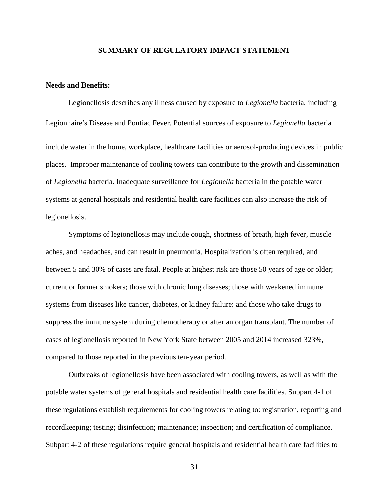### **SUMMARY OF REGULATORY IMPACT STATEMENT**

# **Needs and Benefits:**

Legionellosis describes any illness caused by exposure to *Legionella* bacteria, including Legionnaire's Disease and Pontiac Fever. Potential sources of exposure to *Legionella* bacteria include water in the home, workplace, healthcare facilities or aerosol-producing devices in public places. Improper maintenance of cooling towers can contribute to the growth and dissemination of *Legionella* bacteria. Inadequate surveillance for *Legionella* bacteria in the potable water systems at general hospitals and residential health care facilities can also increase the risk of legionellosis.

Symptoms of legionellosis may include cough, shortness of breath, high fever, muscle aches, and headaches, and can result in pneumonia. Hospitalization is often required, and between 5 and 30% of cases are fatal. People at highest risk are those 50 years of age or older; current or former smokers; those with chronic lung diseases; those with weakened immune systems from diseases like cancer, diabetes, or kidney failure; and those who take drugs to suppress the immune system during chemotherapy or after an organ transplant. The number of cases of legionellosis reported in New York State between 2005 and 2014 increased 323%, compared to those reported in the previous ten-year period.

Outbreaks of legionellosis have been associated with cooling towers, as well as with the potable water systems of general hospitals and residential health care facilities. Subpart 4-1 of these regulations establish requirements for cooling towers relating to: registration, reporting and recordkeeping; testing; disinfection; maintenance; inspection; and certification of compliance. Subpart 4-2 of these regulations require general hospitals and residential health care facilities to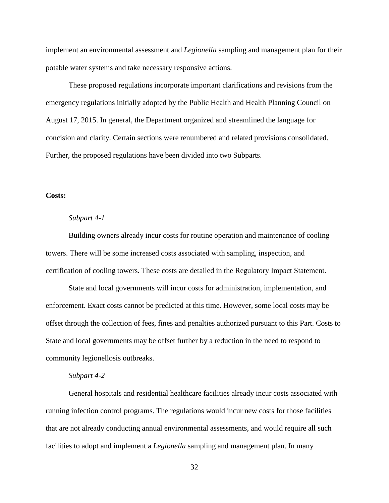implement an environmental assessment and *Legionella* sampling and management plan for their potable water systems and take necessary responsive actions.

These proposed regulations incorporate important clarifications and revisions from the emergency regulations initially adopted by the Public Health and Health Planning Council on August 17, 2015. In general, the Department organized and streamlined the language for concision and clarity. Certain sections were renumbered and related provisions consolidated. Further, the proposed regulations have been divided into two Subparts.

# **Costs:**

# *Subpart 4-1*

Building owners already incur costs for routine operation and maintenance of cooling towers. There will be some increased costs associated with sampling, inspection, and certification of cooling towers. These costs are detailed in the Regulatory Impact Statement.

State and local governments will incur costs for administration, implementation, and enforcement. Exact costs cannot be predicted at this time. However, some local costs may be offset through the collection of fees, fines and penalties authorized pursuant to this Part. Costs to State and local governments may be offset further by a reduction in the need to respond to community legionellosis outbreaks.

### *Subpart 4-2*

General hospitals and residential healthcare facilities already incur costs associated with running infection control programs. The regulations would incur new costs for those facilities that are not already conducting annual environmental assessments, and would require all such facilities to adopt and implement a *Legionella* sampling and management plan. In many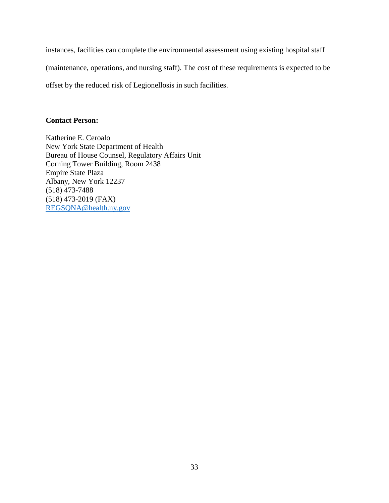instances, facilities can complete the environmental assessment using existing hospital staff

(maintenance, operations, and nursing staff). The cost of these requirements is expected to be

offset by the reduced risk of Legionellosis in such facilities.

# **Contact Person:**

Katherine E. Ceroalo New York State Department of Health Bureau of House Counsel, Regulatory Affairs Unit Corning Tower Building, Room 2438 Empire State Plaza Albany, New York 12237 (518) 473-7488 (518) 473-2019 (FAX) [REGSQNA@health.ny.gov](mailto:REGSQNA@health.ny.gov)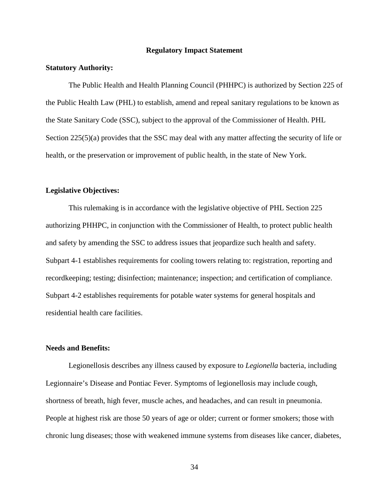### **Regulatory Impact Statement**

#### **Statutory Authority:**

The Public Health and Health Planning Council (PHHPC) is authorized by Section 225 of the Public Health Law (PHL) to establish, amend and repeal sanitary regulations to be known as the State Sanitary Code (SSC), subject to the approval of the Commissioner of Health. PHL Section 225(5)(a) provides that the SSC may deal with any matter affecting the security of life or health, or the preservation or improvement of public health, in the state of New York.

### **Legislative Objectives:**

This rulemaking is in accordance with the legislative objective of PHL Section 225 authorizing PHHPC, in conjunction with the Commissioner of Health, to protect public health and safety by amending the SSC to address issues that jeopardize such health and safety. Subpart 4-1 establishes requirements for cooling towers relating to: registration, reporting and recordkeeping; testing; disinfection; maintenance; inspection; and certification of compliance. Subpart 4-2 establishes requirements for potable water systems for general hospitals and residential health care facilities.

#### **Needs and Benefits:**

Legionellosis describes any illness caused by exposure to *Legionella* bacteria, including Legionnaire's Disease and Pontiac Fever. Symptoms of legionellosis may include cough, shortness of breath, high fever, muscle aches, and headaches, and can result in pneumonia. People at highest risk are those 50 years of age or older; current or former smokers; those with chronic lung diseases; those with weakened immune systems from diseases like cancer, diabetes,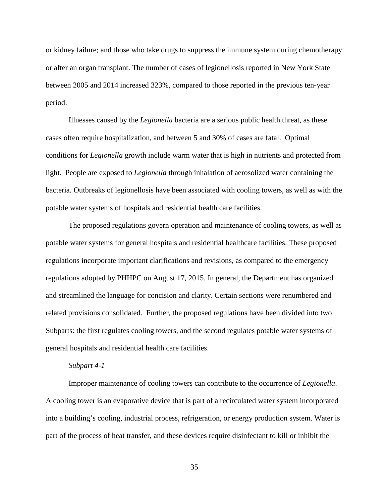or kidney failure; and those who take drugs to suppress the immune system during chemotherapy or after an organ transplant. The number of cases of legionellosis reported in New York State between 2005 and 2014 increased 323%, compared to those reported in the previous ten-year period.

Illnesses caused by the *Legionella* bacteria are a serious public health threat, as these cases often require hospitalization, and between 5 and 30% of cases are fatal. Optimal conditions for *Legionella* growth include warm water that is high in nutrients and protected from light. People are exposed to *Legionella* through inhalation of aerosolized water containing the bacteria. Outbreaks of legionellosis have been associated with cooling towers, as well as with the potable water systems of hospitals and residential health care facilities.

The proposed regulations govern operation and maintenance of cooling towers, as well as potable water systems for general hospitals and residential healthcare facilities. These proposed regulations incorporate important clarifications and revisions, as compared to the emergency regulations adopted by PHHPC on August 17, 2015. In general, the Department has organized and streamlined the language for concision and clarity. Certain sections were renumbered and related provisions consolidated. Further, the proposed regulations have been divided into two Subparts: the first regulates cooling towers, and the second regulates potable water systems of general hospitals and residential health care facilities.

#### *Subpart 4-1*

Improper maintenance of cooling towers can contribute to the occurrence of *Legionella*. A cooling tower is an evaporative device that is part of a recirculated water system incorporated into a building's cooling, industrial process, refrigeration, or energy production system. Water is part of the process of heat transfer, and these devices require disinfectant to kill or inhibit the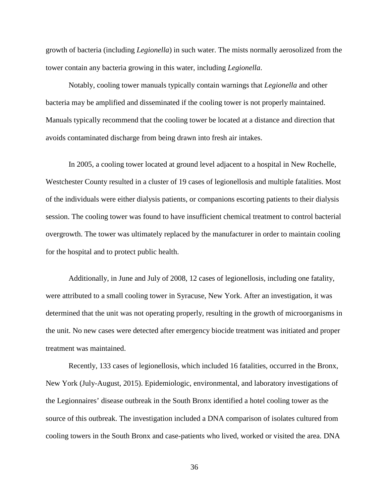growth of bacteria (including *Legionella*) in such water. The mists normally aerosolized from the tower contain any bacteria growing in this water, including *Legionella*.

Notably, cooling tower manuals typically contain warnings that *Legionella* and other bacteria may be amplified and disseminated if the cooling tower is not properly maintained. Manuals typically recommend that the cooling tower be located at a distance and direction that avoids contaminated discharge from being drawn into fresh air intakes.

In 2005, a cooling tower located at ground level adjacent to a hospital in New Rochelle, Westchester County resulted in a cluster of 19 cases of legionellosis and multiple fatalities. Most of the individuals were either dialysis patients, or companions escorting patients to their dialysis session. The cooling tower was found to have insufficient chemical treatment to control bacterial overgrowth. The tower was ultimately replaced by the manufacturer in order to maintain cooling for the hospital and to protect public health.

Additionally, in June and July of 2008, 12 cases of legionellosis, including one fatality, were attributed to a small cooling tower in Syracuse, New York. After an investigation, it was determined that the unit was not operating properly, resulting in the growth of microorganisms in the unit. No new cases were detected after emergency biocide treatment was initiated and proper treatment was maintained.

Recently, 133 cases of legionellosis, which included 16 fatalities, occurred in the Bronx, New York (July-August, 2015). Epidemiologic, environmental, and laboratory investigations of the Legionnaires' disease outbreak in the South Bronx identified a hotel cooling tower as the source of this outbreak. The investigation included a DNA comparison of isolates cultured from cooling towers in the South Bronx and case-patients who lived, worked or visited the area. DNA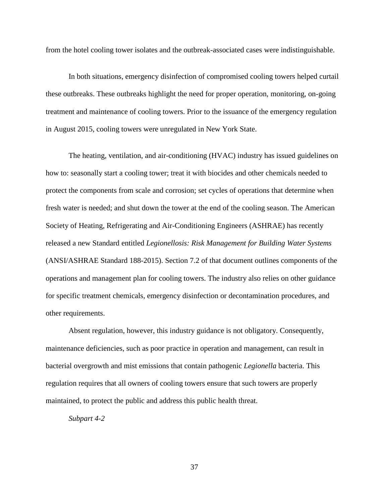from the hotel cooling tower isolates and the outbreak-associated cases were indistinguishable.

In both situations, emergency disinfection of compromised cooling towers helped curtail these outbreaks. These outbreaks highlight the need for proper operation, monitoring, on-going treatment and maintenance of cooling towers. Prior to the issuance of the emergency regulation in August 2015, cooling towers were unregulated in New York State.

The heating, ventilation, and air-conditioning (HVAC) industry has issued guidelines on how to: seasonally start a cooling tower; treat it with biocides and other chemicals needed to protect the components from scale and corrosion; set cycles of operations that determine when fresh water is needed; and shut down the tower at the end of the cooling season. The American Society of Heating, Refrigerating and Air-Conditioning Engineers (ASHRAE) has recently released a new Standard entitled *Legionellosis: Risk Management for Building Water Systems* (ANSI/ASHRAE Standard 188-2015). Section 7.2 of that document outlines components of the operations and management plan for cooling towers. The industry also relies on other guidance for specific treatment chemicals, emergency disinfection or decontamination procedures, and other requirements.

Absent regulation, however, this industry guidance is not obligatory. Consequently, maintenance deficiencies, such as poor practice in operation and management, can result in bacterial overgrowth and mist emissions that contain pathogenic *Legionella* bacteria. This regulation requires that all owners of cooling towers ensure that such towers are properly maintained, to protect the public and address this public health threat.

*Subpart 4-2*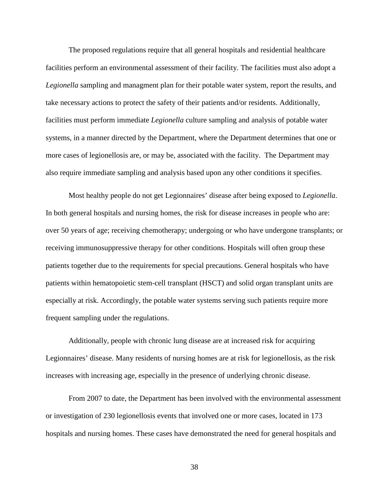The proposed regulations require that all general hospitals and residential healthcare facilities perform an environmental assessment of their facility. The facilities must also adopt a *Legionella* sampling and managment plan for their potable water system, report the results, and take necessary actions to protect the safety of their patients and/or residents. Additionally, facilities must perform immediate *Legionella* culture sampling and analysis of potable water systems, in a manner directed by the Department, where the Department determines that one or more cases of legionellosis are, or may be, associated with the facility. The Department may also require immediate sampling and analysis based upon any other conditions it specifies.

Most healthy people do not get Legionnaires' disease after being exposed to *Legionella*. In both general hospitals and nursing homes, the risk for disease increases in people who are: over 50 years of age; receiving chemotherapy; undergoing or who have undergone transplants; or receiving immunosuppressive therapy for other conditions. Hospitals will often group these patients together due to the requirements for special precautions. General hospitals who have patients within hematopoietic stem-cell transplant (HSCT) and solid organ transplant units are especially at risk. Accordingly, the potable water systems serving such patients require more frequent sampling under the regulations.

Additionally, people with chronic lung disease are at increased risk for acquiring Legionnaires' disease. Many residents of nursing homes are at risk for legionellosis, as the risk increases with increasing age, especially in the presence of underlying chronic disease.

From 2007 to date, the Department has been involved with the environmental assessment or investigation of 230 legionellosis events that involved one or more cases, located in 173 hospitals and nursing homes. These cases have demonstrated the need for general hospitals and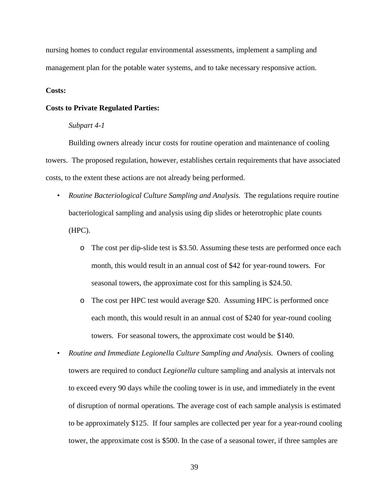nursing homes to conduct regular environmental assessments, implement a sampling and management plan for the potable water systems, and to take necessary responsive action.

## **Costs:**

#### **Costs to Private Regulated Parties:**

## *Subpart 4-1*

Building owners already incur costs for routine operation and maintenance of cooling towers. The proposed regulation, however, establishes certain requirements that have associated costs, to the extent these actions are not already being performed.

- *Routine Bacteriological Culture Sampling and Analysis.* The regulations require routine bacteriological sampling and analysis using dip slides or heterotrophic plate counts (HPC).
	- o The cost per dip-slide test is \$3.50. Assuming these tests are performed once each month, this would result in an annual cost of \$42 for year-round towers. For seasonal towers, the approximate cost for this sampling is \$24.50.
	- o The cost per HPC test would average \$20. Assuming HPC is performed once each month, this would result in an annual cost of \$240 for year-round cooling towers. For seasonal towers, the approximate cost would be \$140.
- *Routine and Immediate Legionella Culture Sampling and Analysis.* Owners of cooling towers are required to conduct *Legionella* culture sampling and analysis at intervals not to exceed every 90 days while the cooling tower is in use, and immediately in the event of disruption of normal operations. The average cost of each sample analysis is estimated to be approximately \$125. If four samples are collected per year for a year-round cooling tower, the approximate cost is \$500. In the case of a seasonal tower, if three samples are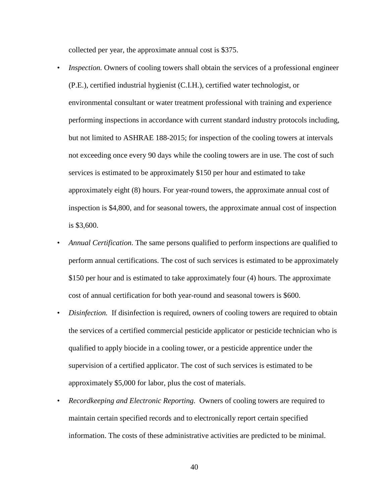collected per year, the approximate annual cost is \$375.

- *Inspection*. Owners of cooling towers shall obtain the services of a professional engineer (P.E.), certified industrial hygienist (C.I.H.), certified water technologist, or environmental consultant or water treatment professional with training and experience performing inspections in accordance with current standard industry protocols including, but not limited to ASHRAE 188-2015; for inspection of the cooling towers at intervals not exceeding once every 90 days while the cooling towers are in use. The cost of such services is estimated to be approximately \$150 per hour and estimated to take approximately eight (8) hours. For year-round towers, the approximate annual cost of inspection is \$4,800, and for seasonal towers, the approximate annual cost of inspection is \$3,600.
- *Annual Certification.* The same persons qualified to perform inspections are qualified to perform annual certifications. The cost of such services is estimated to be approximately \$150 per hour and is estimated to take approximately four (4) hours. The approximate cost of annual certification for both year-round and seasonal towers is \$600.
- *Disinfection.* If disinfection is required, owners of cooling towers are required to obtain the services of a certified commercial pesticide applicator or pesticide technician who is qualified to apply biocide in a cooling tower, or a pesticide apprentice under the supervision of a certified applicator. The cost of such services is estimated to be approximately \$5,000 for labor, plus the cost of materials.
- *Recordkeeping and Electronic Reporting.* Owners of cooling towers are required to maintain certain specified records and to electronically report certain specified information. The costs of these administrative activities are predicted to be minimal.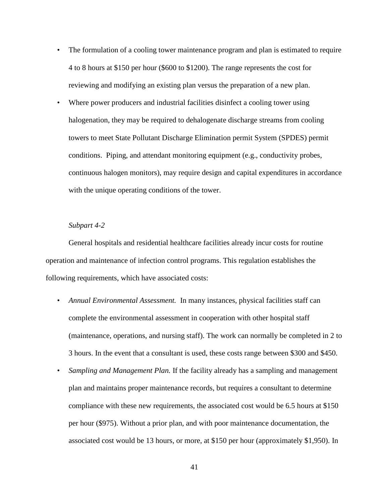- The formulation of a cooling tower maintenance program and plan is estimated to require 4 to 8 hours at \$150 per hour (\$600 to \$1200). The range represents the cost for reviewing and modifying an existing plan versus the preparation of a new plan.
- Where power producers and industrial facilities disinfect a cooling tower using halogenation, they may be required to dehalogenate discharge streams from cooling towers to meet State Pollutant Discharge Elimination permit System (SPDES) permit conditions. Piping, and attendant monitoring equipment (e.g., conductivity probes, continuous halogen monitors), may require design and capital expenditures in accordance with the unique operating conditions of the tower.

#### *Subpart 4-2*

General hospitals and residential healthcare facilities already incur costs for routine operation and maintenance of infection control programs. This regulation establishes the following requirements, which have associated costs:

- *Annual Environmental Assessment.* In many instances, physical facilities staff can complete the environmental assessment in cooperation with other hospital staff (maintenance, operations, and nursing staff). The work can normally be completed in 2 to 3 hours. In the event that a consultant is used, these costs range between \$300 and \$450.
- *Sampling and Management Plan.* If the facility already has a sampling and management plan and maintains proper maintenance records, but requires a consultant to determine compliance with these new requirements, the associated cost would be 6.5 hours at \$150 per hour (\$975). Without a prior plan, and with poor maintenance documentation, the associated cost would be 13 hours, or more, at \$150 per hour (approximately \$1,950). In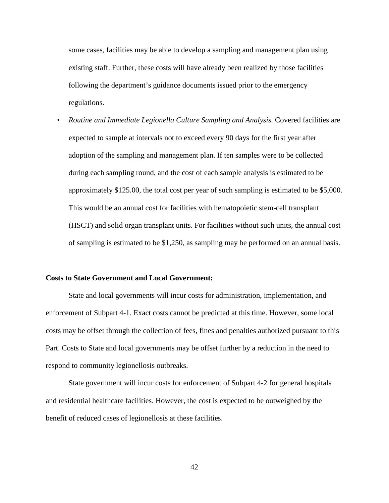some cases, facilities may be able to develop a sampling and management plan using existing staff. Further, these costs will have already been realized by those facilities following the department's guidance documents issued prior to the emergency regulations.

• *Routine and Immediate Legionella Culture Sampling and Analysis.* Covered facilities are expected to sample at intervals not to exceed every 90 days for the first year after adoption of the sampling and management plan. If ten samples were to be collected during each sampling round, and the cost of each sample analysis is estimated to be approximately \$125.00, the total cost per year of such sampling is estimated to be \$5,000. This would be an annual cost for facilities with hematopoietic stem-cell transplant (HSCT) and solid organ transplant units. For facilities without such units, the annual cost of sampling is estimated to be \$1,250, as sampling may be performed on an annual basis.

#### **Costs to State Government and Local Government:**

State and local governments will incur costs for administration, implementation, and enforcement of Subpart 4-1. Exact costs cannot be predicted at this time. However, some local costs may be offset through the collection of fees, fines and penalties authorized pursuant to this Part. Costs to State and local governments may be offset further by a reduction in the need to respond to community legionellosis outbreaks.

State government will incur costs for enforcement of Subpart 4-2 for general hospitals and residential healthcare facilities. However, the cost is expected to be outweighed by the benefit of reduced cases of legionellosis at these facilities.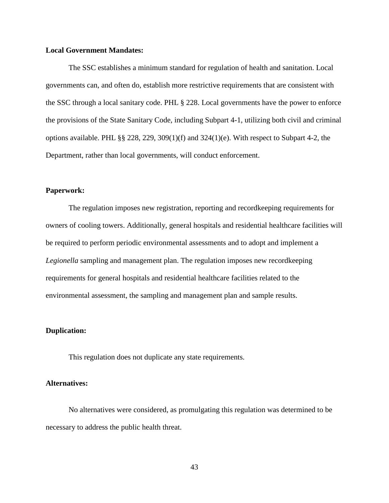## **Local Government Mandates:**

The SSC establishes a minimum standard for regulation of health and sanitation. Local governments can, and often do, establish more restrictive requirements that are consistent with the SSC through a local sanitary code. PHL § 228. Local governments have the power to enforce the provisions of the State Sanitary Code, including Subpart 4-1, utilizing both civil and criminal options available. PHL §§ 228, 229, 309(1)(f) and 324(1)(e). With respect to Subpart 4-2, the Department, rather than local governments, will conduct enforcement.

## **Paperwork:**

The regulation imposes new registration, reporting and recordkeeping requirements for owners of cooling towers. Additionally, general hospitals and residential healthcare facilities will be required to perform periodic environmental assessments and to adopt and implement a *Legionella* sampling and management plan. The regulation imposes new recordkeeping requirements for general hospitals and residential healthcare facilities related to the environmental assessment, the sampling and management plan and sample results.

## **Duplication:**

This regulation does not duplicate any state requirements.

## **Alternatives:**

No alternatives were considered, as promulgating this regulation was determined to be necessary to address the public health threat.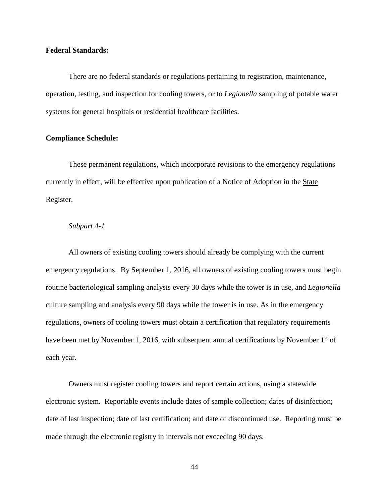## **Federal Standards:**

There are no federal standards or regulations pertaining to registration, maintenance, operation, testing, and inspection for cooling towers, or to *Legionella* sampling of potable water systems for general hospitals or residential healthcare facilities.

## **Compliance Schedule:**

These permanent regulations, which incorporate revisions to the emergency regulations currently in effect, will be effective upon publication of a Notice of Adoption in the State Register.

#### *Subpart 4-1*

All owners of existing cooling towers should already be complying with the current emergency regulations. By September 1, 2016, all owners of existing cooling towers must begin routine bacteriological sampling analysis every 30 days while the tower is in use, and *Legionella* culture sampling and analysis every 90 days while the tower is in use. As in the emergency regulations, owners of cooling towers must obtain a certification that regulatory requirements have been met by November 1, 2016, with subsequent annual certifications by November  $1<sup>st</sup>$  of each year.

Owners must register cooling towers and report certain actions, using a statewide electronic system. Reportable events include dates of sample collection; dates of disinfection; date of last inspection; date of last certification; and date of discontinued use. Reporting must be made through the electronic registry in intervals not exceeding 90 days.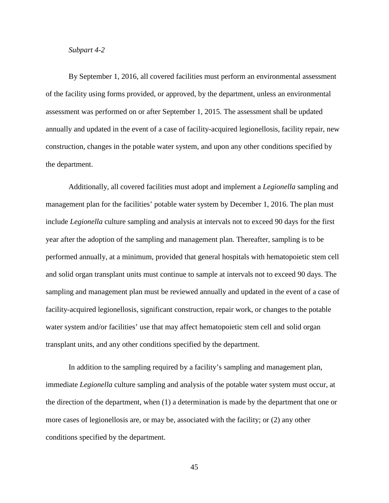## *Subpart 4-2*

By September 1, 2016, all covered facilities must perform an environmental assessment of the facility using forms provided, or approved, by the department, unless an environmental assessment was performed on or after September 1, 2015. The assessment shall be updated annually and updated in the event of a case of facility-acquired legionellosis, facility repair, new construction, changes in the potable water system, and upon any other conditions specified by the department.

Additionally, all covered facilities must adopt and implement a *Legionella* sampling and management plan for the facilities' potable water system by December 1, 2016. The plan must include *Legionella* culture sampling and analysis at intervals not to exceed 90 days for the first year after the adoption of the sampling and management plan. Thereafter, sampling is to be performed annually, at a minimum, provided that general hospitals with hematopoietic stem cell and solid organ transplant units must continue to sample at intervals not to exceed 90 days. The sampling and management plan must be reviewed annually and updated in the event of a case of facility-acquired legionellosis, significant construction, repair work, or changes to the potable water system and/or facilities' use that may affect hematopoietic stem cell and solid organ transplant units, and any other conditions specified by the department.

In addition to the sampling required by a facility's sampling and management plan, immediate *Legionella* culture sampling and analysis of the potable water system must occur, at the direction of the department, when (1) a determination is made by the department that one or more cases of legionellosis are, or may be, associated with the facility; or (2) any other conditions specified by the department.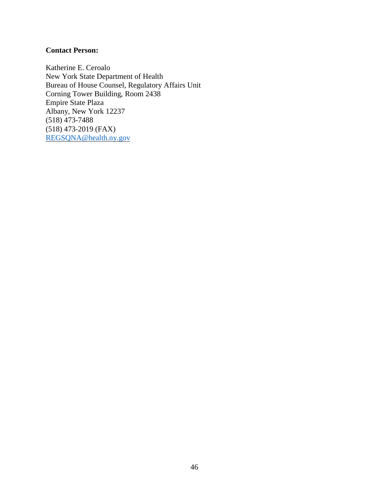# **Contact Person:**

Katherine E. Ceroalo New York State Department of Health Bureau of House Counsel, Regulatory Affairs Unit Corning Tower Building, Room 2438 Empire State Plaza Albany, New York 12237 (518) 473-7488 (518) 473-2019 (FAX) [REGSQNA@health.ny.gov](mailto:REGSQNA@health.ny.gov)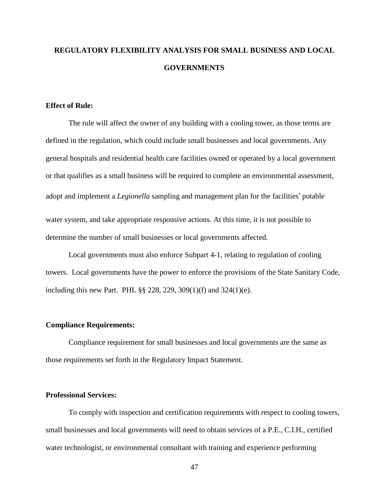# **REGULATORY FLEXIBILITY ANALYSIS FOR SMALL BUSINESS AND LOCAL GOVERNMENTS**

# **Effect of Rule:**

The rule will affect the owner of any building with a cooling tower, as those terms are defined in the regulation, which could include small businesses and local governments. Any general hospitals and residential health care facilities owned or operated by a local government or that qualifies as a small business will be required to complete an environmental assessment, adopt and implement a *Legionella* sampling and management plan for the facilities' potable water system, and take appropriate responsive actions. At this time, it is not possible to determine the number of small businesses or local governments affected.

Local governments must also enforce Subpart 4-1, relating to regulation of cooling towers. Local governments have the power to enforce the provisions of the State Sanitary Code, including this new Part. PHL §§ 228, 229, 309(1)(f) and 324(1)(e).

#### **Compliance Requirements:**

Compliance requirement for small businesses and local governments are the same as those requirements set forth in the Regulatory Impact Statement.

# **Professional Services:**

To comply with inspection and certification requirements with respect to cooling towers, small businesses and local governments will need to obtain services of a P.E., C.I.H., certified water technologist, or environmental consultant with training and experience performing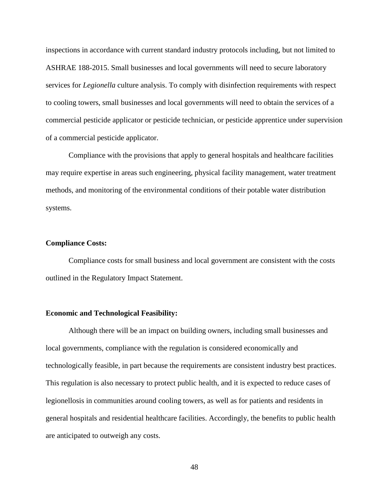inspections in accordance with current standard industry protocols including, but not limited to ASHRAE 188-2015. Small businesses and local governments will need to secure laboratory services for *Legionella* culture analysis. To comply with disinfection requirements with respect to cooling towers, small businesses and local governments will need to obtain the services of a commercial pesticide applicator or pesticide technician, or pesticide apprentice under supervision of a commercial pesticide applicator.

Compliance with the provisions that apply to general hospitals and healthcare facilities may require expertise in areas such engineering, physical facility management, water treatment methods, and monitoring of the environmental conditions of their potable water distribution systems.

# **Compliance Costs:**

Compliance costs for small business and local government are consistent with the costs outlined in the Regulatory Impact Statement.

#### **Economic and Technological Feasibility:**

Although there will be an impact on building owners, including small businesses and local governments, compliance with the regulation is considered economically and technologically feasible, in part because the requirements are consistent industry best practices. This regulation is also necessary to protect public health, and it is expected to reduce cases of legionellosis in communities around cooling towers, as well as for patients and residents in general hospitals and residential healthcare facilities. Accordingly, the benefits to public health are anticipated to outweigh any costs.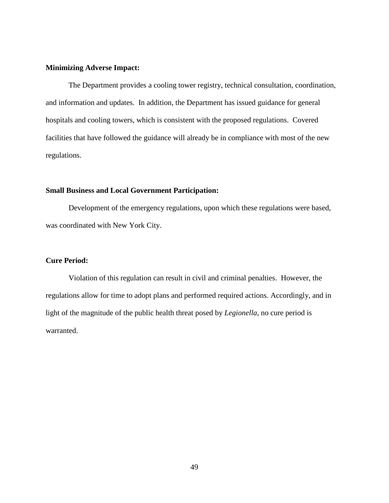## **Minimizing Adverse Impact:**

The Department provides a cooling tower registry, technical consultation, coordination, and information and updates. In addition, the Department has issued guidance for general hospitals and cooling towers, which is consistent with the proposed regulations. Covered facilities that have followed the guidance will already be in compliance with most of the new regulations.

# **Small Business and Local Government Participation:**

Development of the emergency regulations, upon which these regulations were based, was coordinated with New York City.

## **Cure Period:**

Violation of this regulation can result in civil and criminal penalties. However, the regulations allow for time to adopt plans and performed required actions. Accordingly, and in light of the magnitude of the public health threat posed by *Legionella*, no cure period is warranted.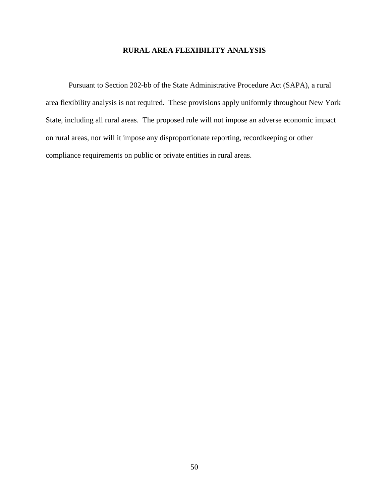# **RURAL AREA FLEXIBILITY ANALYSIS**

Pursuant to Section 202-bb of the State Administrative Procedure Act (SAPA), a rural area flexibility analysis is not required. These provisions apply uniformly throughout New York State, including all rural areas. The proposed rule will not impose an adverse economic impact on rural areas, nor will it impose any disproportionate reporting, recordkeeping or other compliance requirements on public or private entities in rural areas.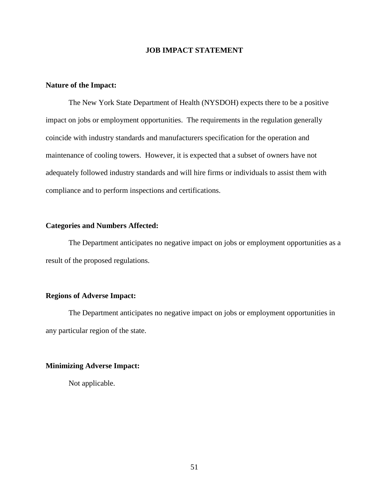# **JOB IMPACT STATEMENT**

# **Nature of the Impact:**

The New York State Department of Health (NYSDOH) expects there to be a positive impact on jobs or employment opportunities. The requirements in the regulation generally coincide with industry standards and manufacturers specification for the operation and maintenance of cooling towers. However, it is expected that a subset of owners have not adequately followed industry standards and will hire firms or individuals to assist them with compliance and to perform inspections and certifications.

## **Categories and Numbers Affected:**

The Department anticipates no negative impact on jobs or employment opportunities as a result of the proposed regulations.

## **Regions of Adverse Impact:**

The Department anticipates no negative impact on jobs or employment opportunities in any particular region of the state.

#### **Minimizing Adverse Impact:**

Not applicable.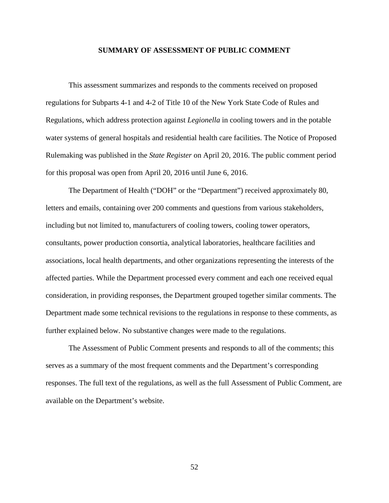#### **SUMMARY OF ASSESSMENT OF PUBLIC COMMENT**

This assessment summarizes and responds to the comments received on proposed regulations for Subparts 4-1 and 4-2 of Title 10 of the New York State Code of Rules and Regulations, which address protection against *Legionella* in cooling towers and in the potable water systems of general hospitals and residential health care facilities. The Notice of Proposed Rulemaking was published in the *State Register* on April 20, 2016. The public comment period for this proposal was open from April 20, 2016 until June 6, 2016.

The Department of Health ("DOH" or the "Department") received approximately 80, letters and emails, containing over 200 comments and questions from various stakeholders, including but not limited to, manufacturers of cooling towers, cooling tower operators, consultants, power production consortia, analytical laboratories, healthcare facilities and associations, local health departments, and other organizations representing the interests of the affected parties. While the Department processed every comment and each one received equal consideration, in providing responses, the Department grouped together similar comments. The Department made some technical revisions to the regulations in response to these comments, as further explained below. No substantive changes were made to the regulations.

The Assessment of Public Comment presents and responds to all of the comments; this serves as a summary of the most frequent comments and the Department's corresponding responses. The full text of the regulations, as well as the full Assessment of Public Comment, are available on the Department's website.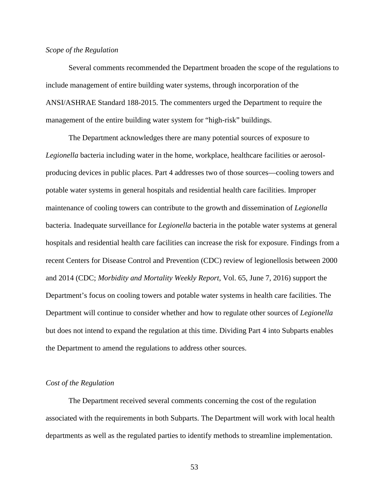#### *Scope of the Regulation*

Several comments recommended the Department broaden the scope of the regulations to include management of entire building water systems, through incorporation of the ANSI/ASHRAE Standard 188-2015. The commenters urged the Department to require the management of the entire building water system for "high-risk" buildings.

The Department acknowledges there are many potential sources of exposure to *Legionella* bacteria including water in the home, workplace, healthcare facilities or aerosolproducing devices in public places. Part 4 addresses two of those sources—cooling towers and potable water systems in general hospitals and residential health care facilities. Improper maintenance of cooling towers can contribute to the growth and dissemination of *Legionella* bacteria. Inadequate surveillance for *Legionella* bacteria in the potable water systems at general hospitals and residential health care facilities can increase the risk for exposure. Findings from a recent Centers for Disease Control and Prevention (CDC) review of legionellosis between 2000 and 2014 (CDC; *Morbidity and Mortality Weekly Report*, Vol. 65, June 7, 2016) support the Department's focus on cooling towers and potable water systems in health care facilities. The Department will continue to consider whether and how to regulate other sources of *Legionella* but does not intend to expand the regulation at this time. Dividing Part 4 into Subparts enables the Department to amend the regulations to address other sources.

#### *Cost of the Regulation*

The Department received several comments concerning the cost of the regulation associated with the requirements in both Subparts. The Department will work with local health departments as well as the regulated parties to identify methods to streamline implementation.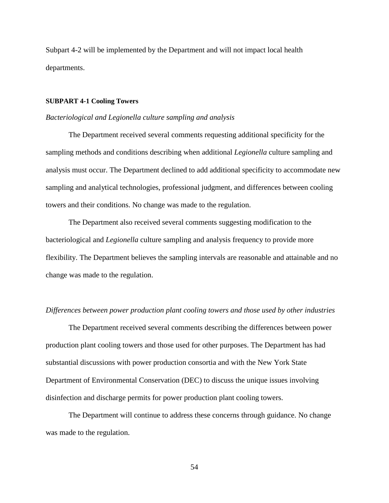Subpart 4-2 will be implemented by the Department and will not impact local health departments.

#### **SUBPART 4-1 Cooling Towers**

#### *Bacteriological and Legionella culture sampling and analysis*

The Department received several comments requesting additional specificity for the sampling methods and conditions describing when additional *Legionella* culture sampling and analysis must occur. The Department declined to add additional specificity to accommodate new sampling and analytical technologies, professional judgment, and differences between cooling towers and their conditions. No change was made to the regulation.

The Department also received several comments suggesting modification to the bacteriological and *Legionella* culture sampling and analysis frequency to provide more flexibility. The Department believes the sampling intervals are reasonable and attainable and no change was made to the regulation.

#### *Differences between power production plant cooling towers and those used by other industries*

The Department received several comments describing the differences between power production plant cooling towers and those used for other purposes. The Department has had substantial discussions with power production consortia and with the New York State Department of Environmental Conservation (DEC) to discuss the unique issues involving disinfection and discharge permits for power production plant cooling towers.

The Department will continue to address these concerns through guidance. No change was made to the regulation.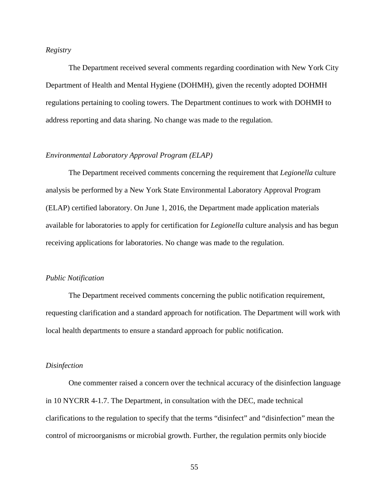# *Registry*

The Department received several comments regarding coordination with New York City Department of Health and Mental Hygiene (DOHMH), given the recently adopted DOHMH regulations pertaining to cooling towers. The Department continues to work with DOHMH to address reporting and data sharing. No change was made to the regulation.

## *Environmental Laboratory Approval Program (ELAP)*

The Department received comments concerning the requirement that *Legionella* culture analysis be performed by a New York State Environmental Laboratory Approval Program (ELAP) certified laboratory. On June 1, 2016, the Department made application materials available for laboratories to apply for certification for *Legionella* culture analysis and has begun receiving applications for laboratories. No change was made to the regulation.

#### *Public Notification*

The Department received comments concerning the public notification requirement, requesting clarification and a standard approach for notification. The Department will work with local health departments to ensure a standard approach for public notification.

#### *Disinfection*

One commenter raised a concern over the technical accuracy of the disinfection language in 10 NYCRR 4-1.7. The Department, in consultation with the DEC, made technical clarifications to the regulation to specify that the terms "disinfect" and "disinfection" mean the control of microorganisms or microbial growth. Further, the regulation permits only biocide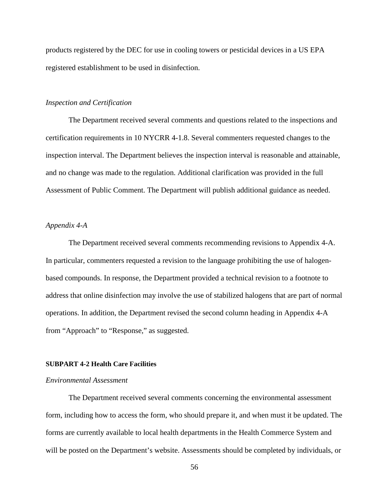products registered by the DEC for use in cooling towers or pesticidal devices in a US EPA registered establishment to be used in disinfection.

## *Inspection and Certification*

The Department received several comments and questions related to the inspections and certification requirements in 10 NYCRR 4-1.8. Several commenters requested changes to the inspection interval. The Department believes the inspection interval is reasonable and attainable, and no change was made to the regulation. Additional clarification was provided in the full Assessment of Public Comment. The Department will publish additional guidance as needed.

## *Appendix 4-A*

The Department received several comments recommending revisions to Appendix 4-A. In particular, commenters requested a revision to the language prohibiting the use of halogenbased compounds. In response, the Department provided a technical revision to a footnote to address that online disinfection may involve the use of stabilized halogens that are part of normal operations. In addition, the Department revised the second column heading in Appendix 4-A from "Approach" to "Response," as suggested.

#### **SUBPART 4-2 Health Care Facilities**

#### *Environmental Assessment*

The Department received several comments concerning the environmental assessment form, including how to access the form, who should prepare it, and when must it be updated. The forms are currently available to local health departments in the Health Commerce System and will be posted on the Department's website. Assessments should be completed by individuals, or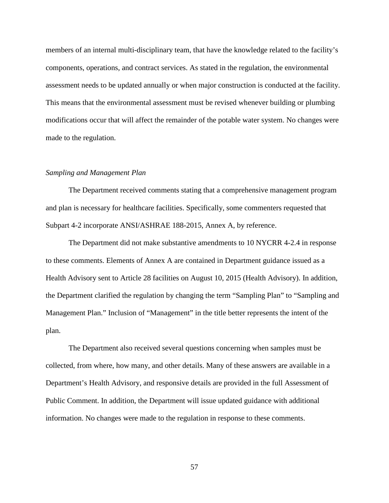members of an internal multi-disciplinary team, that have the knowledge related to the facility's components, operations, and contract services. As stated in the regulation, the environmental assessment needs to be updated annually or when major construction is conducted at the facility. This means that the environmental assessment must be revised whenever building or plumbing modifications occur that will affect the remainder of the potable water system. No changes were made to the regulation.

#### *Sampling and Management Plan*

The Department received comments stating that a comprehensive management program and plan is necessary for healthcare facilities. Specifically, some commenters requested that Subpart 4-2 incorporate ANSI/ASHRAE 188-2015, Annex A, by reference.

The Department did not make substantive amendments to 10 NYCRR 4-2.4 in response to these comments. Elements of Annex A are contained in Department guidance issued as a Health Advisory sent to Article 28 facilities on August 10, 2015 (Health Advisory). In addition, the Department clarified the regulation by changing the term "Sampling Plan" to "Sampling and Management Plan." Inclusion of "Management" in the title better represents the intent of the plan.

The Department also received several questions concerning when samples must be collected, from where, how many, and other details. Many of these answers are available in a Department's Health Advisory, and responsive details are provided in the full Assessment of Public Comment. In addition, the Department will issue updated guidance with additional information. No changes were made to the regulation in response to these comments.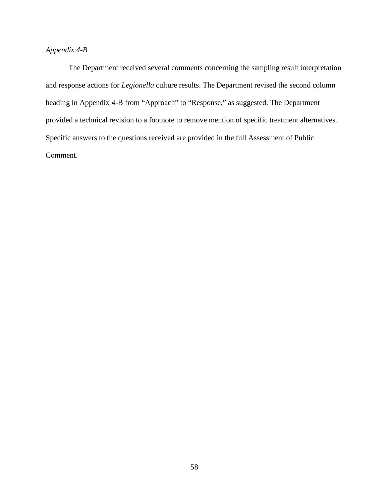# *Appendix 4-B*

The Department received several comments concerning the sampling result interpretation and response actions for *Legionella* culture results. The Department revised the second column heading in Appendix 4-B from "Approach" to "Response," as suggested. The Department provided a technical revision to a footnote to remove mention of specific treatment alternatives. Specific answers to the questions received are provided in the full Assessment of Public Comment.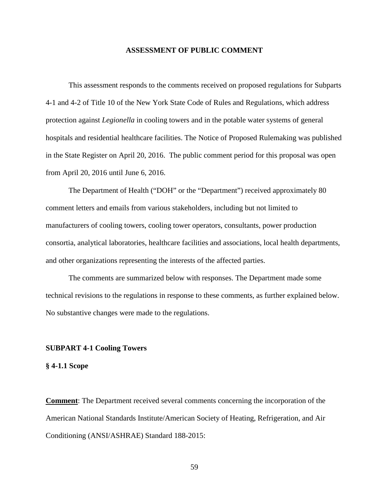#### **ASSESSMENT OF PUBLIC COMMENT**

This assessment responds to the comments received on proposed regulations for Subparts 4-1 and 4-2 of Title 10 of the New York State Code of Rules and Regulations, which address protection against *Legionella* in cooling towers and in the potable water systems of general hospitals and residential healthcare facilities. The Notice of Proposed Rulemaking was published in the State Register on April 20, 2016. The public comment period for this proposal was open from April 20, 2016 until June 6, 2016.

The Department of Health ("DOH" or the "Department") received approximately 80 comment letters and emails from various stakeholders, including but not limited to manufacturers of cooling towers, cooling tower operators, consultants, power production consortia, analytical laboratories, healthcare facilities and associations, local health departments, and other organizations representing the interests of the affected parties.

The comments are summarized below with responses. The Department made some technical revisions to the regulations in response to these comments, as further explained below. No substantive changes were made to the regulations.

#### **SUBPART 4-1 Cooling Towers**

#### **§ 4-1.1 Scope**

**Comment**: The Department received several comments concerning the incorporation of the American National Standards Institute/American Society of Heating, Refrigeration, and Air Conditioning (ANSI/ASHRAE) Standard 188-2015: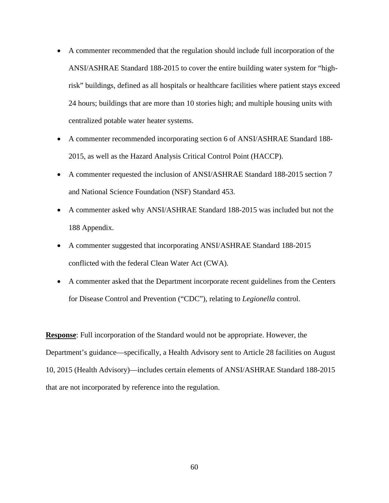- A commenter recommended that the regulation should include full incorporation of the ANSI/ASHRAE Standard 188-2015 to cover the entire building water system for "highrisk" buildings, defined as all hospitals or healthcare facilities where patient stays exceed 24 hours; buildings that are more than 10 stories high; and multiple housing units with centralized potable water heater systems.
- A commenter recommended incorporating section 6 of ANSI/ASHRAE Standard 188- 2015, as well as the Hazard Analysis Critical Control Point (HACCP).
- A commenter requested the inclusion of ANSI/ASHRAE Standard 188-2015 section 7 and National Science Foundation (NSF) Standard 453.
- A commenter asked why ANSI/ASHRAE Standard 188-2015 was included but not the 188 Appendix.
- A commenter suggested that incorporating ANSI/ASHRAE Standard 188-2015 conflicted with the federal Clean Water Act (CWA).
- A commenter asked that the Department incorporate recent guidelines from the Centers for Disease Control and Prevention ("CDC"), relating to *Legionella* control.

**Response**: Full incorporation of the Standard would not be appropriate. However, the Department's guidance—specifically, a Health Advisory sent to Article 28 facilities on August 10, 2015 (Health Advisory)—includes certain elements of ANSI/ASHRAE Standard 188-2015 that are not incorporated by reference into the regulation.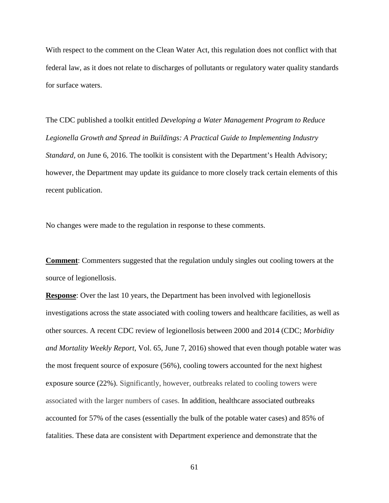With respect to the comment on the Clean Water Act, this regulation does not conflict with that federal law, as it does not relate to discharges of pollutants or regulatory water quality standards for surface waters.

The CDC published a toolkit entitled *Developing a Water Management Program to Reduce Legionella Growth and Spread in Buildings: A Practical Guide to Implementing Industry Standard,* on June 6, 2016. The toolkit is consistent with the Department's Health Advisory; however, the Department may update its guidance to more closely track certain elements of this recent publication.

No changes were made to the regulation in response to these comments.

**Comment**: Commenters suggested that the regulation unduly singles out cooling towers at the source of legionellosis.

**Response**: Over the last 10 years, the Department has been involved with legionellosis investigations across the state associated with cooling towers and healthcare facilities, as well as other sources. A recent CDC review of legionellosis between 2000 and 2014 (CDC; *Morbidity and Mortality Weekly Report*, Vol. 65, June 7, 2016) showed that even though potable water was the most frequent source of exposure (56%), cooling towers accounted for the next highest exposure source (22%). Significantly, however, outbreaks related to cooling towers were associated with the larger numbers of cases. In addition, healthcare associated outbreaks accounted for 57% of the cases (essentially the bulk of the potable water cases) and 85% of fatalities. These data are consistent with Department experience and demonstrate that the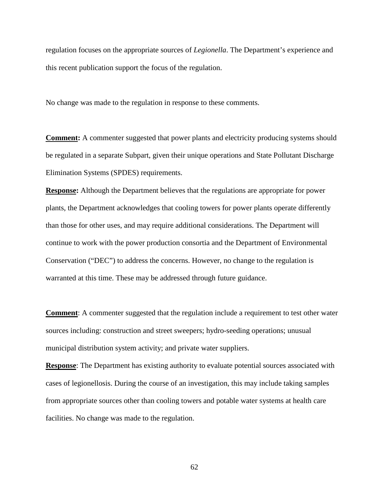regulation focuses on the appropriate sources of *Legionella*. The Department's experience and this recent publication support the focus of the regulation.

No change was made to the regulation in response to these comments.

**Comment:** A commenter suggested that power plants and electricity producing systems should be regulated in a separate Subpart, given their unique operations and State Pollutant Discharge Elimination Systems (SPDES) requirements.

**Response:** Although the Department believes that the regulations are appropriate for power plants, the Department acknowledges that cooling towers for power plants operate differently than those for other uses, and may require additional considerations. The Department will continue to work with the power production consortia and the Department of Environmental Conservation ("DEC") to address the concerns. However, no change to the regulation is warranted at this time. These may be addressed through future guidance.

**Comment:** A commenter suggested that the regulation include a requirement to test other water sources including: construction and street sweepers; hydro-seeding operations; unusual municipal distribution system activity; and private water suppliers.

**Response:** The Department has existing authority to evaluate potential sources associated with cases of legionellosis. During the course of an investigation, this may include taking samples from appropriate sources other than cooling towers and potable water systems at health care facilities. No change was made to the regulation.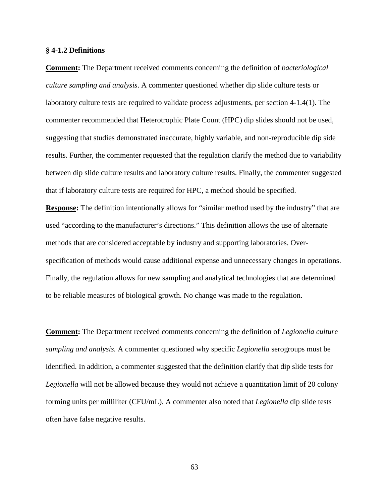#### **§ 4-1.2 Definitions**

**Comment:** The Department received comments concerning the definition of *bacteriological culture sampling and analysis*. A commenter questioned whether dip slide culture tests or laboratory culture tests are required to validate process adjustments, per section 4-1.4(1). The commenter recommended that Heterotrophic Plate Count (HPC) dip slides should not be used, suggesting that studies demonstrated inaccurate, highly variable, and non-reproducible dip side results. Further, the commenter requested that the regulation clarify the method due to variability between dip slide culture results and laboratory culture results. Finally, the commenter suggested that if laboratory culture tests are required for HPC, a method should be specified.

**Response:** The definition intentionally allows for "similar method used by the industry" that are used "according to the manufacturer's directions." This definition allows the use of alternate methods that are considered acceptable by industry and supporting laboratories. Overspecification of methods would cause additional expense and unnecessary changes in operations. Finally, the regulation allows for new sampling and analytical technologies that are determined to be reliable measures of biological growth. No change was made to the regulation.

**Comment:** The Department received comments concerning the definition of *Legionella culture sampling and analysis.* A commenter questioned why specific *Legionella* serogroups must be identified. In addition, a commenter suggested that the definition clarify that dip slide tests for *Legionella* will not be allowed because they would not achieve a quantitation limit of 20 colony forming units per milliliter (CFU/mL). A commenter also noted that *Legionella* dip slide tests often have false negative results.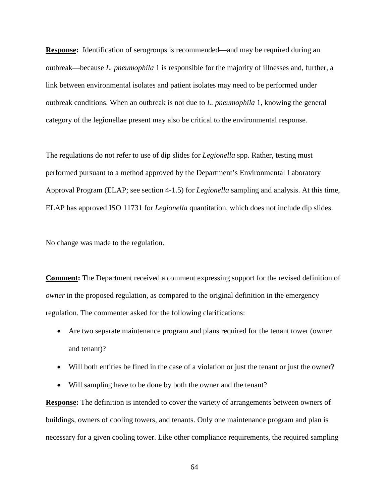**Response:** Identification of serogroups is recommended—and may be required during an outbreak—because *L. pneumophila* 1 is responsible for the majority of illnesses and, further, a link between environmental isolates and patient isolates may need to be performed under outbreak conditions. When an outbreak is not due to *L. pneumophila* 1, knowing the general category of the legionellae present may also be critical to the environmental response.

The regulations do not refer to use of dip slides for *Legionella* spp. Rather, testing must performed pursuant to a method approved by the Department's Environmental Laboratory Approval Program (ELAP; see section 4-1.5) for *Legionella* sampling and analysis. At this time, ELAP has approved ISO 11731 for *Legionella* quantitation, which does not include dip slides.

No change was made to the regulation.

**Comment:** The Department received a comment expressing support for the revised definition of *owner* in the proposed regulation, as compared to the original definition in the emergency regulation. The commenter asked for the following clarifications:

- Are two separate maintenance program and plans required for the tenant tower (owner and tenant)?
- Will both entities be fined in the case of a violation or just the tenant or just the owner?
- Will sampling have to be done by both the owner and the tenant?

**Response:** The definition is intended to cover the variety of arrangements between owners of buildings, owners of cooling towers, and tenants. Only one maintenance program and plan is necessary for a given cooling tower. Like other compliance requirements, the required sampling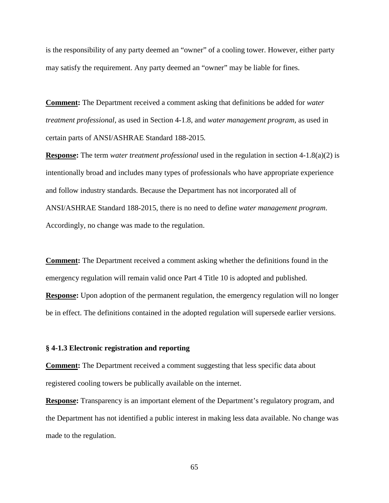is the responsibility of any party deemed an "owner" of a cooling tower. However, either party may satisfy the requirement. Any party deemed an "owner" may be liable for fines.

**Comment:** The Department received a comment asking that definitions be added for *water treatment professional*, as used in Section 4-1.8, and *water management program*, as used in certain parts of ANSI/ASHRAE Standard 188-2015*.* 

**Response:** The term *water treatment professional* used in the regulation in section 4-1.8(a)(2) is intentionally broad and includes many types of professionals who have appropriate experience and follow industry standards. Because the Department has not incorporated all of ANSI/ASHRAE Standard 188-2015, there is no need to define *water management program*. Accordingly, no change was made to the regulation.

**Comment:** The Department received a comment asking whether the definitions found in the emergency regulation will remain valid once Part 4 Title 10 is adopted and published. **Response:** Upon adoption of the permanent regulation, the emergency regulation will no longer be in effect. The definitions contained in the adopted regulation will supersede earlier versions.

#### **§ 4-1.3 Electronic registration and reporting**

**Comment:** The Department received a comment suggesting that less specific data about registered cooling towers be publically available on the internet.

**Response:** Transparency is an important element of the Department's regulatory program, and the Department has not identified a public interest in making less data available. No change was made to the regulation.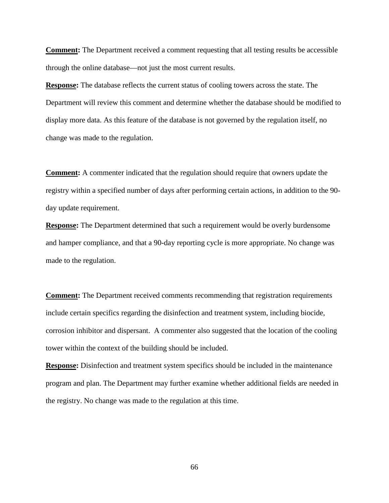**Comment:** The Department received a comment requesting that all testing results be accessible through the online database—not just the most current results.

**Response:** The database reflects the current status of cooling towers across the state. The Department will review this comment and determine whether the database should be modified to display more data. As this feature of the database is not governed by the regulation itself, no change was made to the regulation.

**Comment:** A commenter indicated that the regulation should require that owners update the registry within a specified number of days after performing certain actions, in addition to the 90 day update requirement.

**Response:** The Department determined that such a requirement would be overly burdensome and hamper compliance, and that a 90-day reporting cycle is more appropriate. No change was made to the regulation.

**Comment:** The Department received comments recommending that registration requirements include certain specifics regarding the disinfection and treatment system, including biocide, corrosion inhibitor and dispersant. A commenter also suggested that the location of the cooling tower within the context of the building should be included.

**Response:** Disinfection and treatment system specifics should be included in the maintenance program and plan. The Department may further examine whether additional fields are needed in the registry. No change was made to the regulation at this time.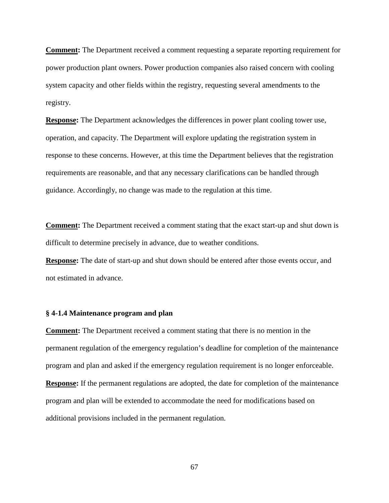**Comment:** The Department received a comment requesting a separate reporting requirement for power production plant owners. Power production companies also raised concern with cooling system capacity and other fields within the registry, requesting several amendments to the registry.

**Response:** The Department acknowledges the differences in power plant cooling tower use, operation, and capacity. The Department will explore updating the registration system in response to these concerns. However, at this time the Department believes that the registration requirements are reasonable, and that any necessary clarifications can be handled through guidance. Accordingly, no change was made to the regulation at this time.

**Comment:** The Department received a comment stating that the exact start-up and shut down is difficult to determine precisely in advance, due to weather conditions.

**Response:** The date of start-up and shut down should be entered after those events occur, and not estimated in advance.

## **§ 4-1.4 Maintenance program and plan**

**Comment:** The Department received a comment stating that there is no mention in the permanent regulation of the emergency regulation's deadline for completion of the maintenance program and plan and asked if the emergency regulation requirement is no longer enforceable. **Response:** If the permanent regulations are adopted, the date for completion of the maintenance program and plan will be extended to accommodate the need for modifications based on additional provisions included in the permanent regulation.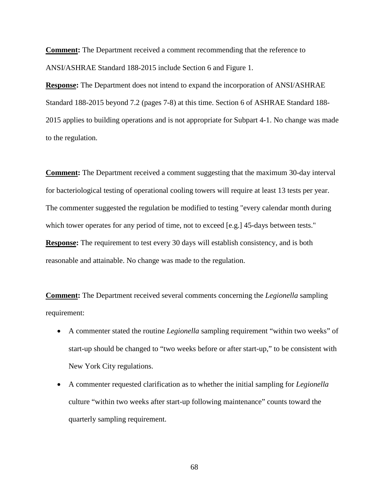**Comment:** The Department received a comment recommending that the reference to ANSI/ASHRAE Standard 188-2015 include Section 6 and Figure 1.

**Response:** The Department does not intend to expand the incorporation of ANSI/ASHRAE Standard 188-2015 beyond 7.2 (pages 7-8) at this time. Section 6 of ASHRAE Standard 188- 2015 applies to building operations and is not appropriate for Subpart 4-1. No change was made to the regulation.

**Comment:** The Department received a comment suggesting that the maximum 30-day interval for bacteriological testing of operational cooling towers will require at least 13 tests per year. The commenter suggested the regulation be modified to testing "every calendar month during which tower operates for any period of time, not to exceed [e.g.] 45-days between tests." **Response:** The requirement to test every 30 days will establish consistency, and is both reasonable and attainable. No change was made to the regulation.

**Comment:** The Department received several comments concerning the *Legionella* sampling requirement:

- A commenter stated the routine *Legionella* sampling requirement "within two weeks" of start-up should be changed to "two weeks before or after start-up," to be consistent with New York City regulations.
- A commenter requested clarification as to whether the initial sampling for *Legionella* culture "within two weeks after start-up following maintenance" counts toward the quarterly sampling requirement.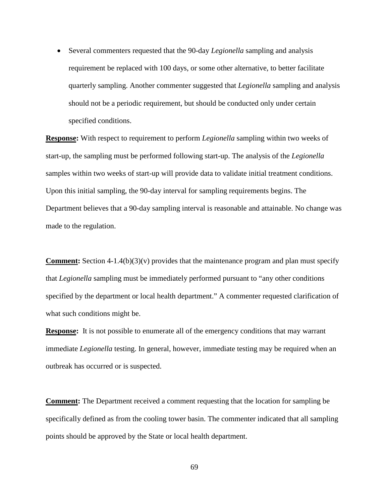• Several commenters requested that the 90-day *Legionella* sampling and analysis requirement be replaced with 100 days, or some other alternative, to better facilitate quarterly sampling. Another commenter suggested that *Legionella* sampling and analysis should not be a periodic requirement, but should be conducted only under certain specified conditions.

**Response:** With respect to requirement to perform *Legionella* sampling within two weeks of start-up, the sampling must be performed following start-up. The analysis of the *Legionella* samples within two weeks of start-up will provide data to validate initial treatment conditions. Upon this initial sampling, the 90-day interval for sampling requirements begins. The Department believes that a 90-day sampling interval is reasonable and attainable. No change was made to the regulation.

**Comment:** Section 4-1.4(b)(3)(v) provides that the maintenance program and plan must specify that *Legionella* sampling must be immediately performed pursuant to "any other conditions specified by the department or local health department." A commenter requested clarification of what such conditions might be.

**Response:** It is not possible to enumerate all of the emergency conditions that may warrant immediate *Legionella* testing. In general, however, immediate testing may be required when an outbreak has occurred or is suspected.

**Comment:** The Department received a comment requesting that the location for sampling be specifically defined as from the cooling tower basin. The commenter indicated that all sampling points should be approved by the State or local health department.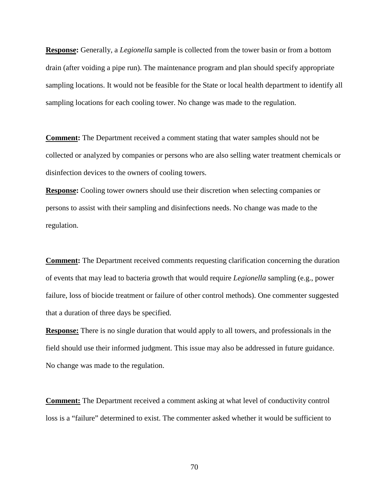**Response:** Generally, a *Legionella* sample is collected from the tower basin or from a bottom drain (after voiding a pipe run). The maintenance program and plan should specify appropriate sampling locations. It would not be feasible for the State or local health department to identify all sampling locations for each cooling tower. No change was made to the regulation.

**Comment:** The Department received a comment stating that water samples should not be collected or analyzed by companies or persons who are also selling water treatment chemicals or disinfection devices to the owners of cooling towers.

**Response:** Cooling tower owners should use their discretion when selecting companies or persons to assist with their sampling and disinfections needs. No change was made to the regulation.

**Comment:** The Department received comments requesting clarification concerning the duration of events that may lead to bacteria growth that would require *Legionella* sampling (e.g., power failure, loss of biocide treatment or failure of other control methods). One commenter suggested that a duration of three days be specified.

**Response:** There is no single duration that would apply to all towers, and professionals in the field should use their informed judgment. This issue may also be addressed in future guidance. No change was made to the regulation.

**Comment:** The Department received a comment asking at what level of conductivity control loss is a "failure" determined to exist. The commenter asked whether it would be sufficient to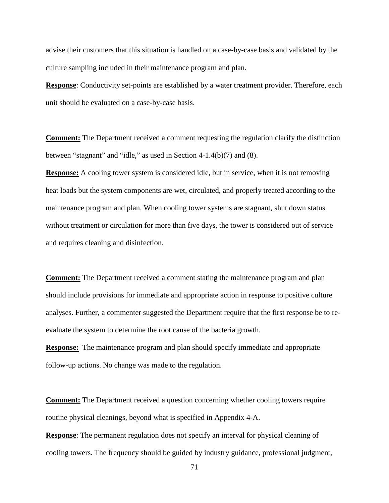advise their customers that this situation is handled on a case-by-case basis and validated by the culture sampling included in their maintenance program and plan.

**Response**: Conductivity set-points are established by a water treatment provider. Therefore, each unit should be evaluated on a case-by-case basis.

**Comment:** The Department received a comment requesting the regulation clarify the distinction between "stagnant" and "idle," as used in Section 4-1.4(b)(7) and (8).

**Response:** A cooling tower system is considered idle, but in service, when it is not removing heat loads but the system components are wet, circulated, and properly treated according to the maintenance program and plan. When cooling tower systems are stagnant, shut down status without treatment or circulation for more than five days, the tower is considered out of service and requires cleaning and disinfection.

**Comment:** The Department received a comment stating the maintenance program and plan should include provisions for immediate and appropriate action in response to positive culture analyses. Further, a commenter suggested the Department require that the first response be to reevaluate the system to determine the root cause of the bacteria growth.

**Response:** The maintenance program and plan should specify immediate and appropriate follow-up actions. No change was made to the regulation.

**Comment:** The Department received a question concerning whether cooling towers require routine physical cleanings, beyond what is specified in Appendix 4-A.

**Response**: The permanent regulation does not specify an interval for physical cleaning of cooling towers. The frequency should be guided by industry guidance, professional judgment,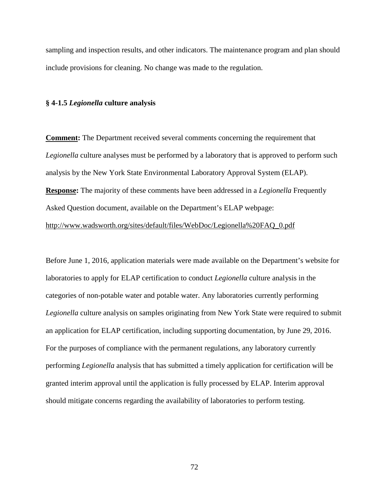sampling and inspection results, and other indicators. The maintenance program and plan should include provisions for cleaning. No change was made to the regulation.

#### **§ 4-1.5** *Legionella* **culture analysis**

**Comment:** The Department received several comments concerning the requirement that *Legionella* culture analyses must be performed by a laboratory that is approved to perform such analysis by the New York State Environmental Laboratory Approval System (ELAP). **Response:** The majority of these comments have been addressed in a *Legionella* Frequently Asked Question document, available on the Department's ELAP webpage: [http://www.wadsworth.org/sites/default/files/WebDoc/Legionella%20FAQ\\_0.pdf](http://www.wadsworth.org/sites/default/files/WebDoc/Legionella%20FAQ_0.pdf)

Before June 1, 2016, application materials were made available on the Department's website for laboratories to apply for ELAP certification to conduct *Legionella* culture analysis in the categories of non-potable water and potable water. Any laboratories currently performing *Legionella* culture analysis on samples originating from New York State were required to submit an application for ELAP certification, including supporting documentation, by June 29, 2016. For the purposes of compliance with the permanent regulations, any laboratory currently performing *Legionella* analysis that has submitted a timely application for certification will be granted interim approval until the application is fully processed by ELAP. Interim approval should mitigate concerns regarding the availability of laboratories to perform testing.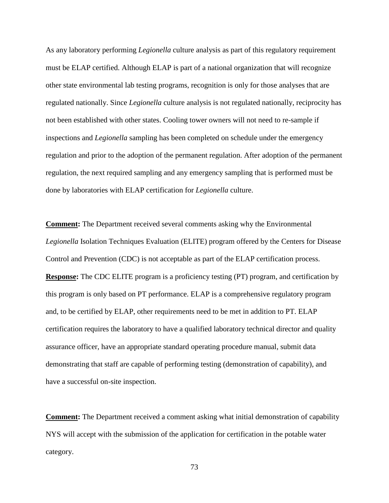As any laboratory performing *Legionella* culture analysis as part of this regulatory requirement must be ELAP certified. Although ELAP is part of a national organization that will recognize other state environmental lab testing programs, recognition is only for those analyses that are regulated nationally. Since *Legionella* culture analysis is not regulated nationally, reciprocity has not been established with other states. Cooling tower owners will not need to re-sample if inspections and *Legionella* sampling has been completed on schedule under the emergency regulation and prior to the adoption of the permanent regulation. After adoption of the permanent regulation, the next required sampling and any emergency sampling that is performed must be done by laboratories with ELAP certification for *Legionella* culture.

**Comment:** The Department received several comments asking why the Environmental *Legionella* Isolation Techniques Evaluation (ELITE) program offered by the Centers for Disease Control and Prevention (CDC) is not acceptable as part of the ELAP certification process. **Response:** The CDC ELITE program is a proficiency testing (PT) program, and certification by this program is only based on PT performance. ELAP is a comprehensive regulatory program and, to be certified by ELAP, other requirements need to be met in addition to PT. ELAP certification requires the laboratory to have a qualified laboratory technical director and quality assurance officer, have an appropriate standard operating procedure manual, submit data demonstrating that staff are capable of performing testing (demonstration of capability), and have a successful on-site inspection.

**Comment:** The Department received a comment asking what initial demonstration of capability NYS will accept with the submission of the application for certification in the potable water category.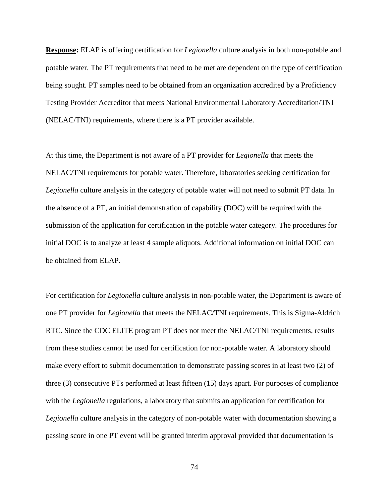**Response:** ELAP is offering certification for *Legionella* culture analysis in both non-potable and potable water. The PT requirements that need to be met are dependent on the type of certification being sought. PT samples need to be obtained from an organization accredited by a Proficiency Testing Provider Accreditor that meets National Environmental Laboratory Accreditation/TNI (NELAC/TNI) requirements, where there is a PT provider available.

At this time, the Department is not aware of a PT provider for *Legionella* that meets the NELAC/TNI requirements for potable water. Therefore, laboratories seeking certification for *Legionella* culture analysis in the category of potable water will not need to submit PT data. In the absence of a PT, an initial demonstration of capability (DOC) will be required with the submission of the application for certification in the potable water category. The procedures for initial DOC is to analyze at least 4 sample aliquots. Additional information on initial DOC can be obtained from ELAP.

For certification for *Legionella* culture analysis in non-potable water, the Department is aware of one PT provider for *Legionella* that meets the NELAC/TNI requirements. This is Sigma-Aldrich RTC. Since the CDC ELITE program PT does not meet the NELAC/TNI requirements, results from these studies cannot be used for certification for non-potable water. A laboratory should make every effort to submit documentation to demonstrate passing scores in at least two (2) of three (3) consecutive PTs performed at least fifteen (15) days apart. For purposes of compliance with the *Legionella* regulations, a laboratory that submits an application for certification for *Legionella* culture analysis in the category of non-potable water with documentation showing a passing score in one PT event will be granted interim approval provided that documentation is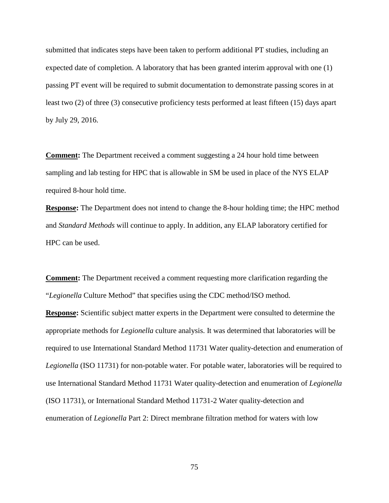submitted that indicates steps have been taken to perform additional PT studies, including an expected date of completion. A laboratory that has been granted interim approval with one (1) passing PT event will be required to submit documentation to demonstrate passing scores in at least two (2) of three (3) consecutive proficiency tests performed at least fifteen (15) days apart by July 29, 2016.

**Comment:** The Department received a comment suggesting a 24 hour hold time between sampling and lab testing for HPC that is allowable in SM be used in place of the NYS ELAP required 8-hour hold time.

**Response:** The Department does not intend to change the 8-hour holding time; the HPC method and *Standard Methods* will continue to apply. In addition, any ELAP laboratory certified for HPC can be used.

**Comment:** The Department received a comment requesting more clarification regarding the "*Legionella* Culture Method" that specifies using the CDC method/ISO method. **Response:** Scientific subject matter experts in the Department were consulted to determine the appropriate methods for *Legionella* culture analysis. It was determined that laboratories will be required to use International Standard Method 11731 Water quality-detection and enumeration of *Legionella* (ISO 11731) for non-potable water. For potable water, laboratories will be required to use International Standard Method 11731 Water quality-detection and enumeration of *Legionella* (ISO 11731), or International Standard Method 11731-2 Water quality-detection and enumeration of *Legionella* Part 2: Direct membrane filtration method for waters with low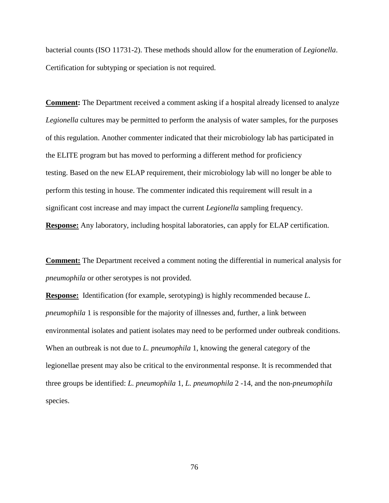bacterial counts (ISO 11731-2). These methods should allow for the enumeration of *Legionella*. Certification for subtyping or speciation is not required.

**Comment:** The Department received a comment asking if a hospital already licensed to analyze *Legionella* cultures may be permitted to perform the analysis of water samples, for the purposes of this regulation. Another commenter indicated that their microbiology lab has participated in the ELITE program but has moved to performing a different method for proficiency testing. Based on the new ELAP requirement, their microbiology lab will no longer be able to perform this testing in house. The commenter indicated this requirement will result in a significant cost increase and may impact the current *Legionella* sampling frequency. **Response:** Any laboratory, including hospital laboratories, can apply for ELAP certification.

**Comment:** The Department received a comment noting the differential in numerical analysis for *pneumophila* or other serotypes is not provided.

**Response:** Identification (for example, serotyping) is highly recommended because *L. pneumophila* 1 is responsible for the majority of illnesses and, further, a link between environmental isolates and patient isolates may need to be performed under outbreak conditions. When an outbreak is not due to *L. pneumophila* 1, knowing the general category of the legionellae present may also be critical to the environmental response. It is recommended that three groups be identified: *L. pneumophila* 1, *L. pneumophila* 2 -14, and the non-*pneumophila* species.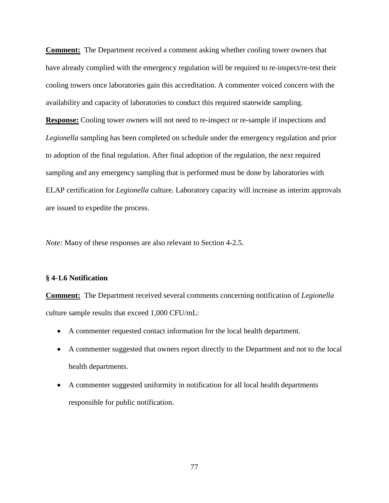**Comment:** The Department received a comment asking whether cooling tower owners that have already complied with the emergency regulation will be required to re-inspect/re-test their cooling towers once laboratories gain this accreditation. A commenter voiced concern with the availability and capacity of laboratories to conduct this required statewide sampling.

**Response:** Cooling tower owners will not need to re-inspect or re-sample if inspections and *Legionella* sampling has been completed on schedule under the emergency regulation and prior to adoption of the final regulation. After final adoption of the regulation, the next required sampling and any emergency sampling that is performed must be done by laboratories with ELAP certification for *Legionella* culture. Laboratory capacity will increase as interim approvals are issued to expedite the process.

*Note:* Many of these responses are also relevant to Section 4-2.5.

## **§ 4-1.6 Notification**

**Comment:** The Department received several comments concerning notification of *Legionella*  culture sample results that exceed 1,000 CFU/mL:

- A commenter requested contact information for the local health department.
- A commenter suggested that owners report directly to the Department and not to the local health departments.
- A commenter suggested uniformity in notification for all local health departments responsible for public notification.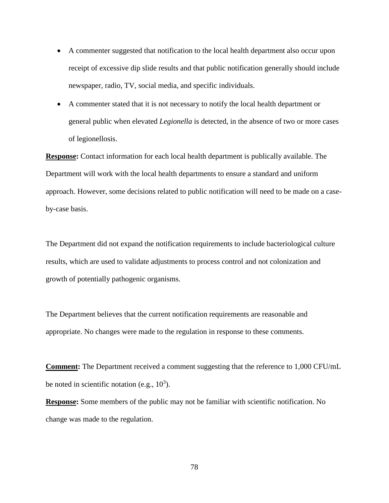- A commenter suggested that notification to the local health department also occur upon receipt of excessive dip slide results and that public notification generally should include newspaper, radio, TV, social media, and specific individuals.
- A commenter stated that it is not necessary to notify the local health department or general public when elevated *Legionella* is detected, in the absence of two or more cases of legionellosis.

**Response:** Contact information for each local health department is publically available. The Department will work with the local health departments to ensure a standard and uniform approach. However, some decisions related to public notification will need to be made on a caseby-case basis.

The Department did not expand the notification requirements to include bacteriological culture results, which are used to validate adjustments to process control and not colonization and growth of potentially pathogenic organisms.

The Department believes that the current notification requirements are reasonable and appropriate. No changes were made to the regulation in response to these comments.

**Comment:** The Department received a comment suggesting that the reference to 1,000 CFU/mL be noted in scientific notation (e.g.,  $10^3$ ).

**Response:** Some members of the public may not be familiar with scientific notification. No change was made to the regulation.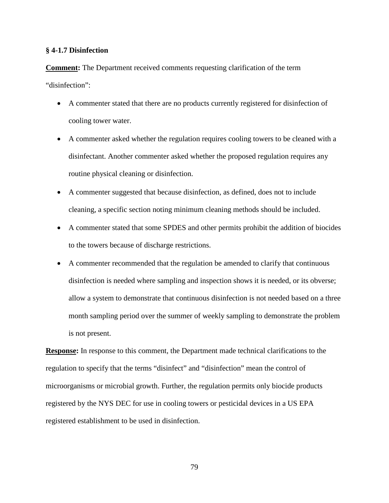# **§ 4-1.7 Disinfection**

**Comment:** The Department received comments requesting clarification of the term "disinfection":

- A commenter stated that there are no products currently registered for disinfection of cooling tower water.
- A commenter asked whether the regulation requires cooling towers to be cleaned with a disinfectant. Another commenter asked whether the proposed regulation requires any routine physical cleaning or disinfection.
- A commenter suggested that because disinfection, as defined, does not to include cleaning, a specific section noting minimum cleaning methods should be included.
- A commenter stated that some SPDES and other permits prohibit the addition of biocides to the towers because of discharge restrictions.
- A commenter recommended that the regulation be amended to clarify that continuous disinfection is needed where sampling and inspection shows it is needed, or its obverse; allow a system to demonstrate that continuous disinfection is not needed based on a three month sampling period over the summer of weekly sampling to demonstrate the problem is not present.

**Response:** In response to this comment, the Department made technical clarifications to the regulation to specify that the terms "disinfect" and "disinfection" mean the control of microorganisms or microbial growth. Further, the regulation permits only biocide products registered by the NYS DEC for use in cooling towers or pesticidal devices in a US EPA registered establishment to be used in disinfection.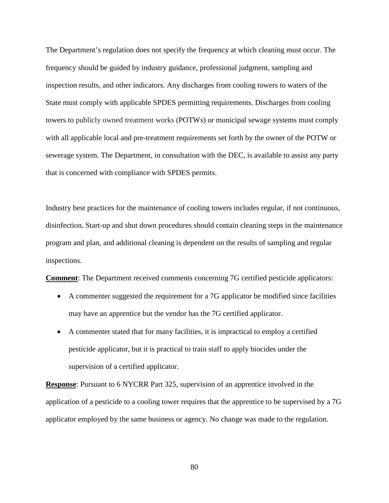The Department's regulation does not specify the frequency at which cleaning must occur. The frequency should be guided by industry guidance, professional judgment, sampling and inspection results, and other indicators. Any discharges from cooling towers to waters of the State must comply with applicable SPDES permitting requirements. Discharges from cooling towers to publicly owned treatment works (POTWs) or municipal sewage systems must comply with all applicable local and pre-treatment requirements set forth by the owner of the POTW or sewerage system. The Department, in consultation with the DEC, is available to assist any party that is concerned with compliance with SPDES permits.

Industry best practices for the maintenance of cooling towers includes regular, if not continuous, disinfection. Start-up and shut down procedures should contain cleaning steps in the maintenance program and plan, and additional cleaning is dependent on the results of sampling and regular inspections.

**Comment**: The Department received comments concerning 7G certified pesticide applicators:

- A commenter suggested the requirement for a 7G applicator be modified since facilities may have an apprentice but the vendor has the 7G certified applicator.
- A commenter stated that for many facilities, it is impractical to employ a certified pesticide applicator, but it is practical to train staff to apply biocides under the supervision of a certified applicator.

**Response**: Pursuant to 6 NYCRR Part 325, supervision of an apprentice involved in the application of a pesticide to a cooling tower requires that the apprentice to be supervised by a 7G applicator employed by the same business or agency. No change was made to the regulation.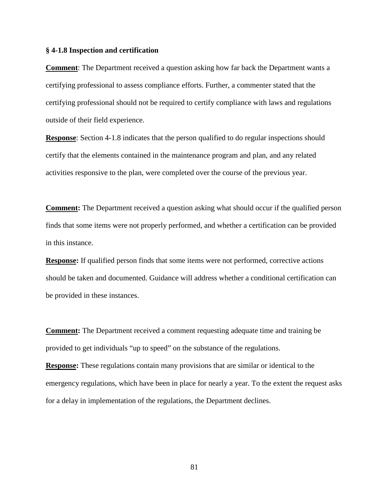## **§ 4-1.8 Inspection and certification**

**Comment**: The Department received a question asking how far back the Department wants a certifying professional to assess compliance efforts. Further, a commenter stated that the certifying professional should not be required to certify compliance with laws and regulations outside of their field experience.

**Response:** Section 4-1.8 indicates that the person qualified to do regular inspections should certify that the elements contained in the maintenance program and plan, and any related activities responsive to the plan, were completed over the course of the previous year.

**Comment:** The Department received a question asking what should occur if the qualified person finds that some items were not properly performed, and whether a certification can be provided in this instance.

**Response:** If qualified person finds that some items were not performed, corrective actions should be taken and documented. Guidance will address whether a conditional certification can be provided in these instances.

**Comment:** The Department received a comment requesting adequate time and training be provided to get individuals "up to speed" on the substance of the regulations.

**Response:** These regulations contain many provisions that are similar or identical to the emergency regulations, which have been in place for nearly a year. To the extent the request asks for a delay in implementation of the regulations, the Department declines.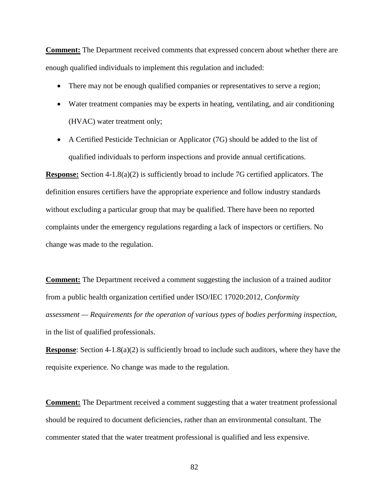**Comment:** The Department received comments that expressed concern about whether there are enough qualified individuals to implement this regulation and included:

- There may not be enough qualified companies or representatives to serve a region;
- Water treatment companies may be experts in heating, ventilating, and air conditioning (HVAC) water treatment only;
- A Certified Pesticide Technician or Applicator (7G) should be added to the list of qualified individuals to perform inspections and provide annual certifications.

**Response:** Section 4-1.8(a)(2) is sufficiently broad to include 7G certified applicators. The definition ensures certifiers have the appropriate experience and follow industry standards without excluding a particular group that may be qualified. There have been no reported complaints under the emergency regulations regarding a lack of inspectors or certifiers. No change was made to the regulation.

**Comment:** The Department received a comment suggesting the inclusion of a trained auditor from a public health organization certified under ISO/IEC 17020:2012, *Conformity assessment — Requirements for the operation of various types of bodies performing inspection*, in the list of qualified professionals.

**Response:** Section 4-1.8(a)(2) is sufficiently broad to include such auditors, where they have the requisite experience. No change was made to the regulation.

**Comment:** The Department received a comment suggesting that a water treatment professional should be required to document deficiencies, rather than an environmental consultant. The commenter stated that the water treatment professional is qualified and less expensive.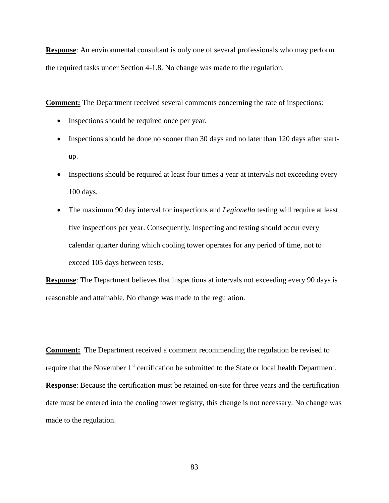**Response**: An environmental consultant is only one of several professionals who may perform the required tasks under Section 4-1.8. No change was made to the regulation.

**Comment:** The Department received several comments concerning the rate of inspections:

- Inspections should be required once per year.
- Inspections should be done no sooner than 30 days and no later than 120 days after startup.
- Inspections should be required at least four times a year at intervals not exceeding every 100 days.
- The maximum 90 day interval for inspections and *Legionella* testing will require at least five inspections per year. Consequently, inspecting and testing should occur every calendar quarter during which cooling tower operates for any period of time, not to exceed 105 days between tests.

**Response**: The Department believes that inspections at intervals not exceeding every 90 days is reasonable and attainable. No change was made to the regulation.

**Comment:** The Department received a comment recommending the regulation be revised to require that the November 1<sup>st</sup> certification be submitted to the State or local health Department. **Response**: Because the certification must be retained on-site for three years and the certification date must be entered into the cooling tower registry, this change is not necessary. No change was made to the regulation.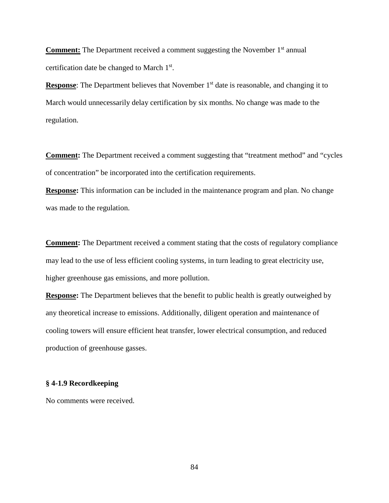**Comment:** The Department received a comment suggesting the November 1<sup>st</sup> annual certification date be changed to March 1st.

**Response:** The Department believes that November 1<sup>st</sup> date is reasonable, and changing it to March would unnecessarily delay certification by six months. No change was made to the regulation.

**Comment:** The Department received a comment suggesting that "treatment method" and "cycles of concentration" be incorporated into the certification requirements.

**Response:** This information can be included in the maintenance program and plan. No change was made to the regulation.

**Comment:** The Department received a comment stating that the costs of regulatory compliance may lead to the use of less efficient cooling systems, in turn leading to great electricity use, higher greenhouse gas emissions, and more pollution.

**Response:** The Department believes that the benefit to public health is greatly outweighed by any theoretical increase to emissions. Additionally, diligent operation and maintenance of cooling towers will ensure efficient heat transfer, lower electrical consumption, and reduced production of greenhouse gasses.

# **§ 4-1.9 Recordkeeping**

No comments were received.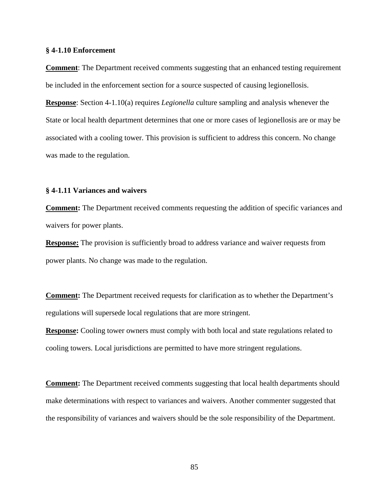### **§ 4-1.10 Enforcement**

**Comment**: The Department received comments suggesting that an enhanced testing requirement be included in the enforcement section for a source suspected of causing legionellosis.

**Response**: Section 4-1.10(a) requires *Legionella* culture sampling and analysis whenever the State or local health department determines that one or more cases of legionellosis are or may be associated with a cooling tower. This provision is sufficient to address this concern. No change was made to the regulation.

# **§ 4-1.11 Variances and waivers**

**Comment:** The Department received comments requesting the addition of specific variances and waivers for power plants.

**Response:** The provision is sufficiently broad to address variance and waiver requests from power plants. No change was made to the regulation.

**Comment:** The Department received requests for clarification as to whether the Department's regulations will supersede local regulations that are more stringent.

**Response:** Cooling tower owners must comply with both local and state regulations related to cooling towers. Local jurisdictions are permitted to have more stringent regulations.

**Comment:** The Department received comments suggesting that local health departments should make determinations with respect to variances and waivers. Another commenter suggested that the responsibility of variances and waivers should be the sole responsibility of the Department.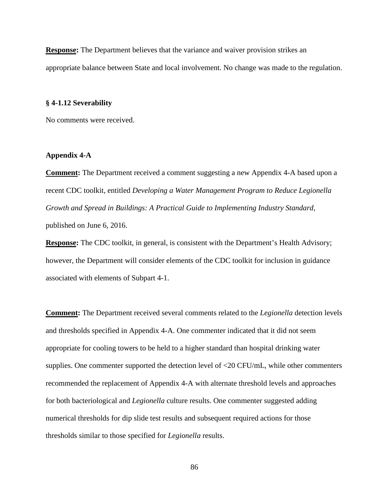**Response:** The Department believes that the variance and waiver provision strikes an appropriate balance between State and local involvement. No change was made to the regulation.

## **§ 4-1.12 Severability**

No comments were received.

# **Appendix 4-A**

**Comment:** The Department received a comment suggesting a new Appendix 4-A based upon a recent CDC toolkit, entitled *Developing a Water Management Program to Reduce Legionella Growth and Spread in Buildings: A Practical Guide to Implementing Industry Standard,* published on June 6, 2016.

**Response:** The CDC toolkit, in general, is consistent with the Department's Health Advisory; however, the Department will consider elements of the CDC toolkit for inclusion in guidance associated with elements of Subpart 4-1.

**Comment:** The Department received several comments related to the *Legionella* detection levels and thresholds specified in Appendix 4-A. One commenter indicated that it did not seem appropriate for cooling towers to be held to a higher standard than hospital drinking water supplies. One commenter supported the detection level of <20 CFU/mL, while other commenters recommended the replacement of Appendix 4-A with alternate threshold levels and approaches for both bacteriological and *Legionella* culture results. One commenter suggested adding numerical thresholds for dip slide test results and subsequent required actions for those thresholds similar to those specified for *Legionella* results.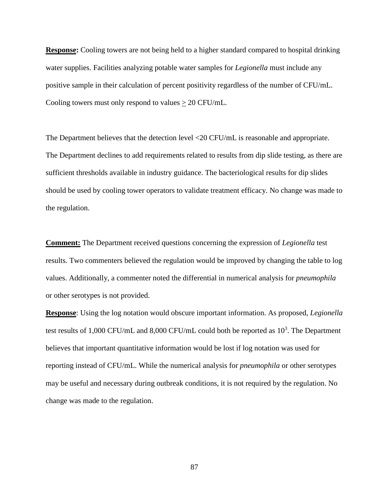**Response:** Cooling towers are not being held to a higher standard compared to hospital drinking water supplies. Facilities analyzing potable water samples for *Legionella* must include any positive sample in their calculation of percent positivity regardless of the number of CFU/mL. Cooling towers must only respond to values  $\geq 20$  CFU/mL.

The Department believes that the detection level <20 CFU/mL is reasonable and appropriate. The Department declines to add requirements related to results from dip slide testing, as there are sufficient thresholds available in industry guidance. The bacteriological results for dip slides should be used by cooling tower operators to validate treatment efficacy. No change was made to the regulation.

**Comment:** The Department received questions concerning the expression of *Legionella* test results. Two commenters believed the regulation would be improved by changing the table to log values. Additionally, a commenter noted the differential in numerical analysis for *pneumophila*  or other serotypes is not provided.

**Response**: Using the log notation would obscure important information. As proposed, *Legionella* test results of 1,000 CFU/mL and 8,000 CFU/mL could both be reported as  $10^3$ . The Department believes that important quantitative information would be lost if log notation was used for reporting instead of CFU/mL. While the numerical analysis for *pneumophila* or other serotypes may be useful and necessary during outbreak conditions, it is not required by the regulation. No change was made to the regulation.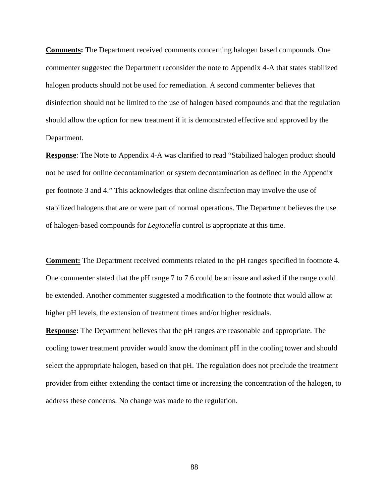**Comments:** The Department received comments concerning halogen based compounds. One commenter suggested the Department reconsider the note to Appendix 4-A that states stabilized halogen products should not be used for remediation. A second commenter believes that disinfection should not be limited to the use of halogen based compounds and that the regulation should allow the option for new treatment if it is demonstrated effective and approved by the Department.

**Response**: The Note to Appendix 4-A was clarified to read "Stabilized halogen product should not be used for online decontamination or system decontamination as defined in the Appendix per footnote 3 and 4." This acknowledges that online disinfection may involve the use of stabilized halogens that are or were part of normal operations. The Department believes the use of halogen-based compounds for *Legionella* control is appropriate at this time.

**Comment:** The Department received comments related to the pH ranges specified in footnote 4. One commenter stated that the pH range 7 to 7.6 could be an issue and asked if the range could be extended. Another commenter suggested a modification to the footnote that would allow at higher pH levels, the extension of treatment times and/or higher residuals.

**Response:** The Department believes that the pH ranges are reasonable and appropriate. The cooling tower treatment provider would know the dominant pH in the cooling tower and should select the appropriate halogen, based on that pH. The regulation does not preclude the treatment provider from either extending the contact time or increasing the concentration of the halogen, to address these concerns. No change was made to the regulation.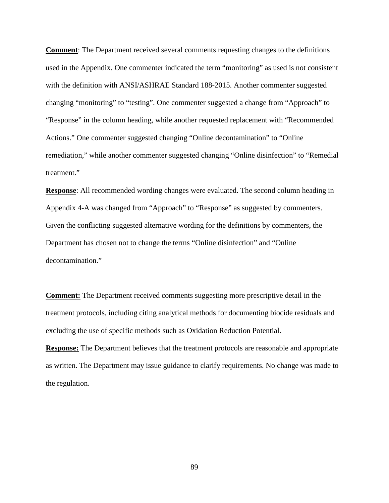**Comment**: The Department received several comments requesting changes to the definitions used in the Appendix. One commenter indicated the term "monitoring" as used is not consistent with the definition with ANSI/ASHRAE Standard 188-2015. Another commenter suggested changing "monitoring" to "testing". One commenter suggested a change from "Approach" to "Response" in the column heading, while another requested replacement with "Recommended Actions." One commenter suggested changing "Online decontamination" to "Online remediation," while another commenter suggested changing "Online disinfection" to "Remedial treatment."

**Response**: All recommended wording changes were evaluated. The second column heading in Appendix 4-A was changed from "Approach" to "Response" as suggested by commenters. Given the conflicting suggested alternative wording for the definitions by commenters, the Department has chosen not to change the terms "Online disinfection" and "Online decontamination."

**Comment:** The Department received comments suggesting more prescriptive detail in the treatment protocols, including citing analytical methods for documenting biocide residuals and excluding the use of specific methods such as Oxidation Reduction Potential.

**Response:** The Department believes that the treatment protocols are reasonable and appropriate as written. The Department may issue guidance to clarify requirements. No change was made to the regulation.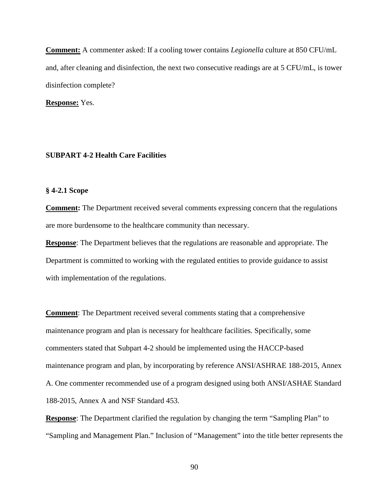**Comment:** A commenter asked: If a cooling tower contains *Legionella* culture at 850 CFU/mL and, after cleaning and disinfection, the next two consecutive readings are at 5 CFU/mL, is tower disinfection complete?

**Response:** Yes.

# **SUBPART 4-2 Health Care Facilities**

# **§ 4-2.1 Scope**

**Comment:** The Department received several comments expressing concern that the regulations are more burdensome to the healthcare community than necessary.

**Response**: The Department believes that the regulations are reasonable and appropriate. The Department is committed to working with the regulated entities to provide guidance to assist with implementation of the regulations.

**Comment**: The Department received several comments stating that a comprehensive maintenance program and plan is necessary for healthcare facilities. Specifically, some commenters stated that Subpart 4-2 should be implemented using the HACCP-based maintenance program and plan, by incorporating by reference ANSI/ASHRAE 188-2015, Annex A. One commenter recommended use of a program designed using both ANSI/ASHAE Standard 188-2015, Annex A and NSF Standard 453.

**Response**: The Department clarified the regulation by changing the term "Sampling Plan" to "Sampling and Management Plan." Inclusion of "Management" into the title better represents the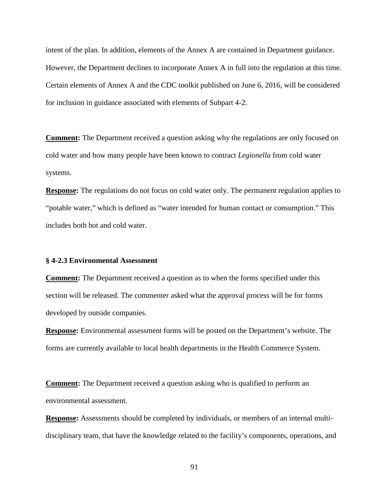intent of the plan. In addition, elements of the Annex A are contained in Department guidance. However, the Department declines to incorporate Annex A in full into the regulation at this time. Certain elements of Annex A and the CDC toolkit published on June 6, 2016, will be considered for inclusion in guidance associated with elements of Subpart 4-2.

**Comment:** The Department received a question asking why the regulations are only focused on cold water and how many people have been known to contract *Legionella* from cold water systems.

**Response:** The regulations do not focus on cold water only. The permanent regulation applies to "potable water," which is defined as "water intended for human contact or consumption." This includes both hot and cold water.

# **§ 4-2.3 Environmental Assessment**

**Comment:** The Department received a question as to when the forms specified under this section will be released. The commenter asked what the approval process will be for forms developed by outside companies.

**Response:** Environmental assessment forms will be posted on the Department's website. The forms are currently available to local health departments in the Health Commerce System.

**Comment:** The Department received a question asking who is qualified to perform an environmental assessment.

**Response:** Assessments should be completed by individuals, or members of an internal multidisciplinary team, that have the knowledge related to the facility's components, operations, and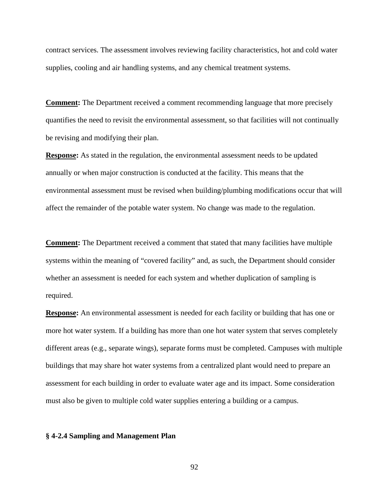contract services. The assessment involves reviewing facility characteristics, hot and cold water supplies, cooling and air handling systems, and any chemical treatment systems.

**Comment:** The Department received a comment recommending language that more precisely quantifies the need to revisit the environmental assessment, so that facilities will not continually be revising and modifying their plan.

**Response:** As stated in the regulation, the environmental assessment needs to be updated annually or when major construction is conducted at the facility. This means that the environmental assessment must be revised when building/plumbing modifications occur that will affect the remainder of the potable water system. No change was made to the regulation.

**Comment:** The Department received a comment that stated that many facilities have multiple systems within the meaning of "covered facility" and, as such, the Department should consider whether an assessment is needed for each system and whether duplication of sampling is required.

**Response:** An environmental assessment is needed for each facility or building that has one or more hot water system. If a building has more than one hot water system that serves completely different areas (e.g., separate wings), separate forms must be completed. Campuses with multiple buildings that may share hot water systems from a centralized plant would need to prepare an assessment for each building in order to evaluate water age and its impact. Some consideration must also be given to multiple cold water supplies entering a building or a campus.

#### **§ 4-2.4 Sampling and Management Plan**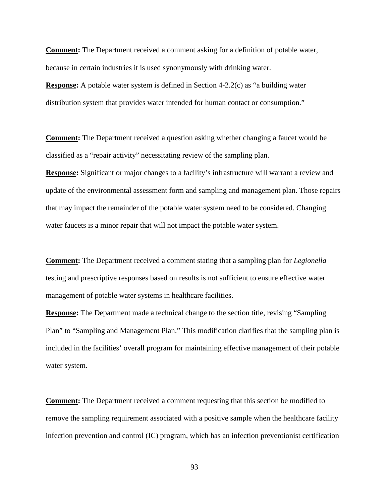**Comment:** The Department received a comment asking for a definition of potable water, because in certain industries it is used synonymously with drinking water.

**Response:** A potable water system is defined in Section 4-2.2(c) as "a building water distribution system that provides water intended for human contact or consumption."

**Comment:** The Department received a question asking whether changing a faucet would be classified as a "repair activity" necessitating review of the sampling plan.

**Response:** Significant or major changes to a facility's infrastructure will warrant a review and update of the environmental assessment form and sampling and management plan. Those repairs that may impact the remainder of the potable water system need to be considered. Changing water faucets is a minor repair that will not impact the potable water system.

**Comment:** The Department received a comment stating that a sampling plan for *Legionella* testing and prescriptive responses based on results is not sufficient to ensure effective water management of potable water systems in healthcare facilities.

**Response:** The Department made a technical change to the section title, revising "Sampling" Plan" to "Sampling and Management Plan." This modification clarifies that the sampling plan is included in the facilities' overall program for maintaining effective management of their potable water system.

**Comment:** The Department received a comment requesting that this section be modified to remove the sampling requirement associated with a positive sample when the healthcare facility infection prevention and control (IC) program, which has an infection preventionist certification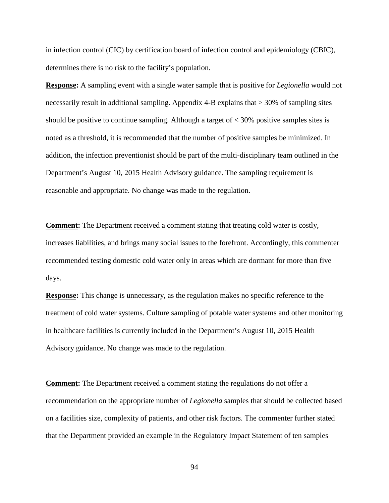in infection control (CIC) by certification board of infection control and epidemiology (CBIC), determines there is no risk to the facility's population.

**Response:** A sampling event with a single water sample that is positive for *Legionella* would not necessarily result in additional sampling. Appendix 4-B explains that  $\geq$  30% of sampling sites should be positive to continue sampling. Although a target of  $\lt$  30% positive samples sites is noted as a threshold, it is recommended that the number of positive samples be minimized. In addition, the infection preventionist should be part of the multi-disciplinary team outlined in the Department's August 10, 2015 Health Advisory guidance. The sampling requirement is reasonable and appropriate. No change was made to the regulation.

**Comment:** The Department received a comment stating that treating cold water is costly, increases liabilities, and brings many social issues to the forefront. Accordingly, this commenter recommended testing domestic cold water only in areas which are dormant for more than five days.

**Response:** This change is unnecessary, as the regulation makes no specific reference to the treatment of cold water systems. Culture sampling of potable water systems and other monitoring in healthcare facilities is currently included in the Department's August 10, 2015 Health Advisory guidance. No change was made to the regulation.

**Comment:** The Department received a comment stating the regulations do not offer a recommendation on the appropriate number of *Legionella* samples that should be collected based on a facilities size, complexity of patients, and other risk factors. The commenter further stated that the Department provided an example in the Regulatory Impact Statement of ten samples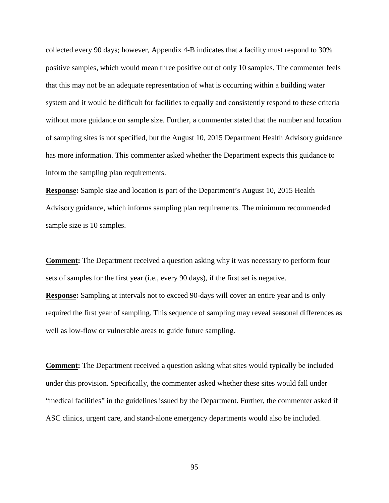collected every 90 days; however, Appendix 4-B indicates that a facility must respond to 30% positive samples, which would mean three positive out of only 10 samples. The commenter feels that this may not be an adequate representation of what is occurring within a building water system and it would be difficult for facilities to equally and consistently respond to these criteria without more guidance on sample size. Further, a commenter stated that the number and location of sampling sites is not specified, but the August 10, 2015 Department Health Advisory guidance has more information. This commenter asked whether the Department expects this guidance to inform the sampling plan requirements.

**Response:** Sample size and location is part of the Department's August 10, 2015 Health Advisory guidance, which informs sampling plan requirements. The minimum recommended sample size is 10 samples.

**Comment:** The Department received a question asking why it was necessary to perform four sets of samples for the first year (i.e., every 90 days), if the first set is negative.

**Response:** Sampling at intervals not to exceed 90-days will cover an entire year and is only required the first year of sampling. This sequence of sampling may reveal seasonal differences as well as low-flow or vulnerable areas to guide future sampling.

**Comment:** The Department received a question asking what sites would typically be included under this provision. Specifically, the commenter asked whether these sites would fall under "medical facilities" in the guidelines issued by the Department. Further, the commenter asked if ASC clinics, urgent care, and stand-alone emergency departments would also be included.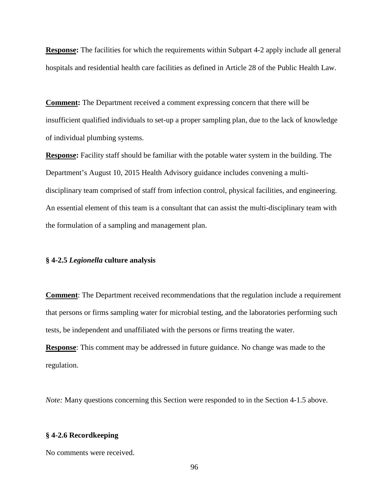**Response:** The facilities for which the requirements within Subpart 4-2 apply include all general hospitals and residential health care facilities as defined in Article 28 of the Public Health Law.

**Comment:** The Department received a comment expressing concern that there will be insufficient qualified individuals to set-up a proper sampling plan, due to the lack of knowledge of individual plumbing systems.

**Response:** Facility staff should be familiar with the potable water system in the building. The Department's August 10, 2015 Health Advisory guidance includes convening a multidisciplinary team comprised of staff from infection control, physical facilities, and engineering. An essential element of this team is a consultant that can assist the multi-disciplinary team with the formulation of a sampling and management plan.

# **§ 4-2.5** *Legionella* **culture analysis**

**Comment**: The Department received recommendations that the regulation include a requirement that persons or firms sampling water for microbial testing, and the laboratories performing such tests, be independent and unaffiliated with the persons or firms treating the water. **Response**: This comment may be addressed in future guidance. No change was made to the regulation.

*Note:* Many questions concerning this Section were responded to in the Section 4-1.5 above.

#### **§ 4-2.6 Recordkeeping**

No comments were received.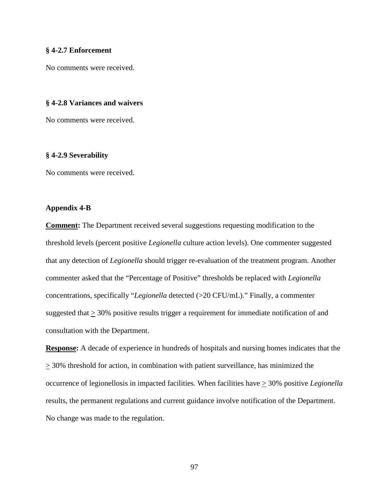### **§ 4-2.7 Enforcement**

No comments were received.

# **§ 4-2.8 Variances and waivers**

No comments were received.

#### **§ 4-2.9 Severability**

No comments were received.

# **Appendix 4-B**

**Comment:** The Department received several suggestions requesting modification to the threshold levels (percent positive *Legionella* culture action levels). One commenter suggested that any detection of *Legionella* should trigger re-evaluation of the treatment program. Another commenter asked that the "Percentage of Positive" thresholds be replaced with *Legionella* concentrations, specifically "*Legionella* detected (>20 CFU/mL)." Finally, a commenter suggested that > 30% positive results trigger a requirement for immediate notification of and consultation with the Department.

**Response:** A decade of experience in hundreds of hospitals and nursing homes indicates that the  $\geq$  30% threshold for action, in combination with patient surveillance, has minimized the occurrence of legionellosis in impacted facilities. When facilities have > 30% positive *Legionella* results, the permanent regulations and current guidance involve notification of the Department. No change was made to the regulation.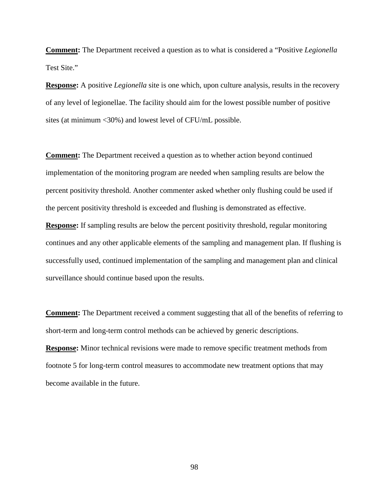**Comment:** The Department received a question as to what is considered a "Positive *Legionella*  Test Site."

**Response:** A positive *Legionella* site is one which, upon culture analysis, results in the recovery of any level of legionellae. The facility should aim for the lowest possible number of positive sites (at minimum <30%) and lowest level of CFU/mL possible.

**Comment:** The Department received a question as to whether action beyond continued implementation of the monitoring program are needed when sampling results are below the percent positivity threshold. Another commenter asked whether only flushing could be used if the percent positivity threshold is exceeded and flushing is demonstrated as effective. **Response:** If sampling results are below the percent positivity threshold, regular monitoring continues and any other applicable elements of the sampling and management plan. If flushing is successfully used, continued implementation of the sampling and management plan and clinical surveillance should continue based upon the results.

**Comment:** The Department received a comment suggesting that all of the benefits of referring to short-term and long-term control methods can be achieved by generic descriptions. **Response:** Minor technical revisions were made to remove specific treatment methods from footnote 5 for long-term control measures to accommodate new treatment options that may become available in the future.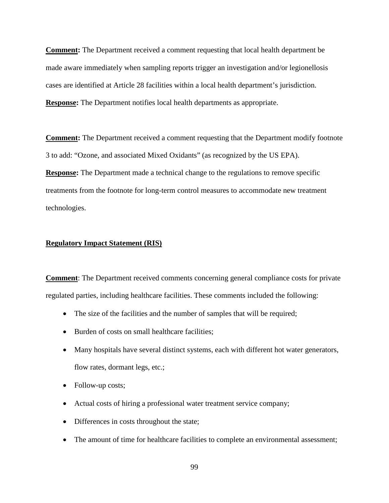**Comment:** The Department received a comment requesting that local health department be made aware immediately when sampling reports trigger an investigation and/or legionellosis cases are identified at Article 28 facilities within a local health department's jurisdiction. **Response:** The Department notifies local health departments as appropriate.

**Comment:** The Department received a comment requesting that the Department modify footnote 3 to add: "Ozone, and associated Mixed Oxidants" (as recognized by the US EPA). **Response:** The Department made a technical change to the regulations to remove specific treatments from the footnote for long-term control measures to accommodate new treatment technologies.

#### **Regulatory Impact Statement (RIS)**

**Comment**: The Department received comments concerning general compliance costs for private regulated parties, including healthcare facilities. These comments included the following:

- The size of the facilities and the number of samples that will be required;
- Burden of costs on small healthcare facilities;
- Many hospitals have several distinct systems, each with different hot water generators, flow rates, dormant legs, etc.;
- Follow-up costs;
- Actual costs of hiring a professional water treatment service company;
- Differences in costs throughout the state;
- The amount of time for healthcare facilities to complete an environmental assessment;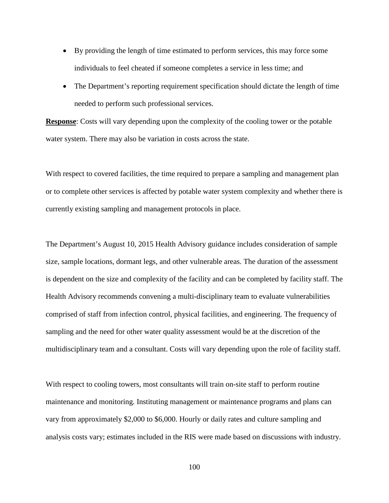- By providing the length of time estimated to perform services, this may force some individuals to feel cheated if someone completes a service in less time; and
- The Department's reporting requirement specification should dictate the length of time needed to perform such professional services.

**Response**: Costs will vary depending upon the complexity of the cooling tower or the potable water system. There may also be variation in costs across the state.

With respect to covered facilities, the time required to prepare a sampling and management plan or to complete other services is affected by potable water system complexity and whether there is currently existing sampling and management protocols in place.

The Department's August 10, 2015 Health Advisory guidance includes consideration of sample size, sample locations, dormant legs, and other vulnerable areas. The duration of the assessment is dependent on the size and complexity of the facility and can be completed by facility staff. The Health Advisory recommends convening a multi-disciplinary team to evaluate vulnerabilities comprised of staff from infection control, physical facilities, and engineering. The frequency of sampling and the need for other water quality assessment would be at the discretion of the multidisciplinary team and a consultant. Costs will vary depending upon the role of facility staff.

With respect to cooling towers, most consultants will train on-site staff to perform routine maintenance and monitoring. Instituting management or maintenance programs and plans can vary from approximately \$2,000 to \$6,000. Hourly or daily rates and culture sampling and analysis costs vary; estimates included in the RIS were made based on discussions with industry.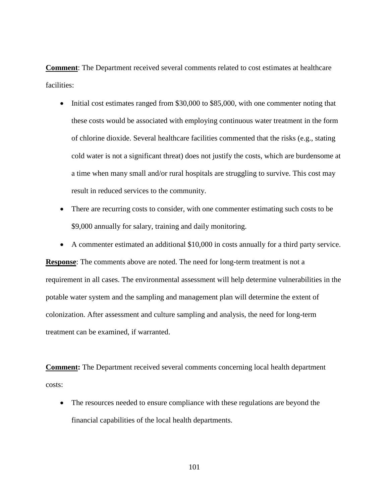**Comment**: The Department received several comments related to cost estimates at healthcare facilities:

- Initial cost estimates ranged from \$30,000 to \$85,000, with one commenter noting that these costs would be associated with employing continuous water treatment in the form of chlorine dioxide. Several healthcare facilities commented that the risks (e.g., stating cold water is not a significant threat) does not justify the costs, which are burdensome at a time when many small and/or rural hospitals are struggling to survive. This cost may result in reduced services to the community.
- There are recurring costs to consider, with one commenter estimating such costs to be \$9,000 annually for salary, training and daily monitoring.
- A commenter estimated an additional \$10,000 in costs annually for a third party service.

**Response**: The comments above are noted. The need for long-term treatment is not a requirement in all cases. The environmental assessment will help determine vulnerabilities in the potable water system and the sampling and management plan will determine the extent of colonization. After assessment and culture sampling and analysis, the need for long-term treatment can be examined, if warranted.

**Comment:** The Department received several comments concerning local health department costs:

• The resources needed to ensure compliance with these regulations are beyond the financial capabilities of the local health departments.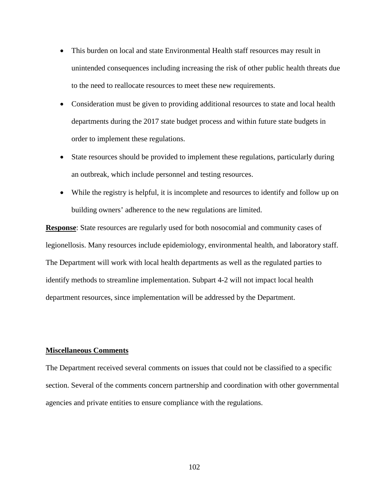- This burden on local and state Environmental Health staff resources may result in unintended consequences including increasing the risk of other public health threats due to the need to reallocate resources to meet these new requirements.
- Consideration must be given to providing additional resources to state and local health departments during the 2017 state budget process and within future state budgets in order to implement these regulations.
- State resources should be provided to implement these regulations, particularly during an outbreak, which include personnel and testing resources.
- While the registry is helpful, it is incomplete and resources to identify and follow up on building owners' adherence to the new regulations are limited.

**Response**: State resources are regularly used for both nosocomial and community cases of legionellosis. Many resources include epidemiology, environmental health, and laboratory staff. The Department will work with local health departments as well as the regulated parties to identify methods to streamline implementation. Subpart 4-2 will not impact local health department resources, since implementation will be addressed by the Department.

## **Miscellaneous Comments**

The Department received several comments on issues that could not be classified to a specific section. Several of the comments concern partnership and coordination with other governmental agencies and private entities to ensure compliance with the regulations.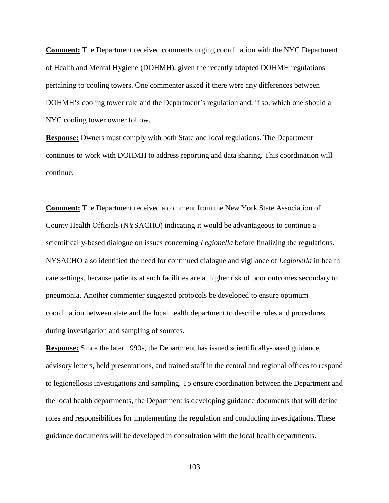**Comment:** The Department received comments urging coordination with the NYC Department of Health and Mental Hygiene (DOHMH), given the recently adopted DOHMH regulations pertaining to cooling towers. One commenter asked if there were any differences between DOHMH's cooling tower rule and the Department's regulation and, if so, which one should a NYC cooling tower owner follow.

**Response:** Owners must comply with both State and local regulations. The Department continues to work with DOHMH to address reporting and data sharing. This coordination will continue.

**Comment:** The Department received a comment from the New York State Association of County Health Officials (NYSACHO) indicating it would be advantageous to continue a scientifically-based dialogue on issues concerning *Legionella* before finalizing the regulations. NYSACHO also identified the need for continued dialogue and vigilance of *Legionella* in health care settings, because patients at such facilities are at higher risk of poor outcomes secondary to pneumonia. Another commenter suggested protocols be developed to ensure optimum coordination between state and the local health department to describe roles and procedures during investigation and sampling of sources.

**Response:** Since the later 1990s, the Department has issued scientifically-based guidance, advisory letters, held presentations, and trained staff in the central and regional offices to respond to legionellosis investigations and sampling. To ensure coordination between the Department and the local health departments, the Department is developing guidance documents that will define roles and responsibilities for implementing the regulation and conducting investigations. These guidance documents will be developed in consultation with the local health departments.